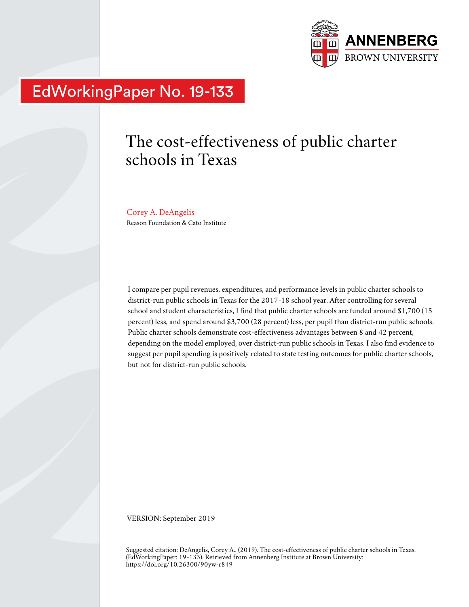

# EdWorkingPaper No. 19-133

## The cost-effectiveness of public charter schools in Texas

## Corey A. DeAngelis

Reason Foundation & Cato Institute

I compare per pupil revenues, expenditures, and performance levels in public charter schools to district-run public schools in Texas for the 2017-18 school year. After controlling for several school and student characteristics, I find that public charter schools are funded around \$1,700 (15 percent) less, and spend around \$3,700 (28 percent) less, per pupil than district-run public schools. Public charter schools demonstrate cost-effectiveness advantages between 8 and 42 percent, depending on the model employed, over district-run public schools in Texas. I also find evidence to suggest per pupil spending is positively related to state testing outcomes for public charter schools, but not for district-run public schools.

VERSION: September 2019

Suggested citation: DeAngelis, Corey A.. (2019). The cost-effectiveness of public charter schools in Texas. (EdWorkingPaper: 19-133). Retrieved from Annenberg Institute at Brown University: https://doi.org/10.26300/90yw-r849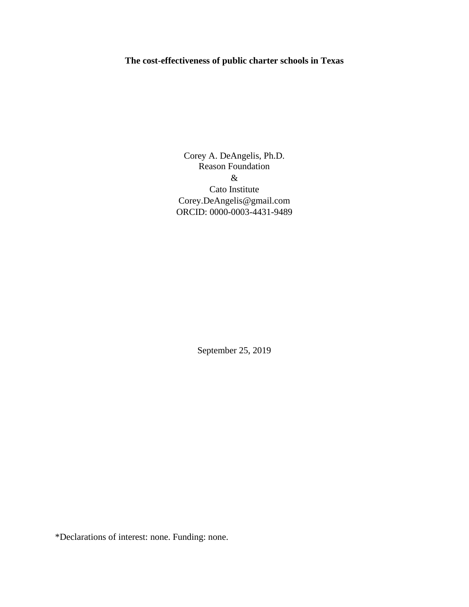## **The cost-effectiveness of public charter schools in Texas**

Corey A. DeAngelis, Ph.D. Reason Foundation & Cato Institute Corey.DeAngelis@gmail.com ORCID: 0000-0003-4431-9489

September 25, 2019

\*Declarations of interest: none. Funding: none.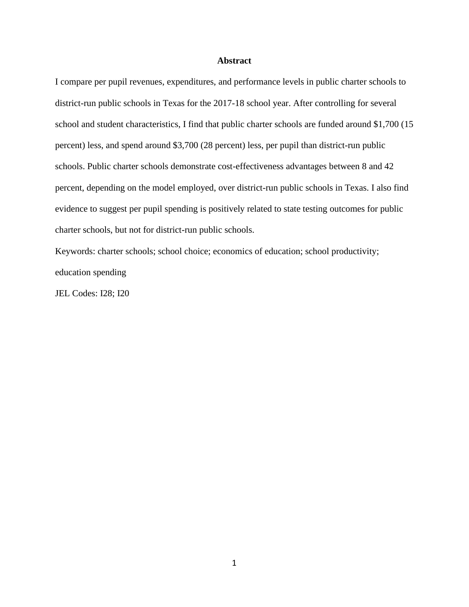## **Abstract**

I compare per pupil revenues, expenditures, and performance levels in public charter schools to district-run public schools in Texas for the 2017-18 school year. After controlling for several school and student characteristics, I find that public charter schools are funded around \$1,700 (15 percent) less, and spend around \$3,700 (28 percent) less, per pupil than district-run public schools. Public charter schools demonstrate cost-effectiveness advantages between 8 and 42 percent, depending on the model employed, over district-run public schools in Texas. I also find evidence to suggest per pupil spending is positively related to state testing outcomes for public charter schools, but not for district-run public schools.

Keywords: charter schools; school choice; economics of education; school productivity; education spending

JEL Codes: I28; I20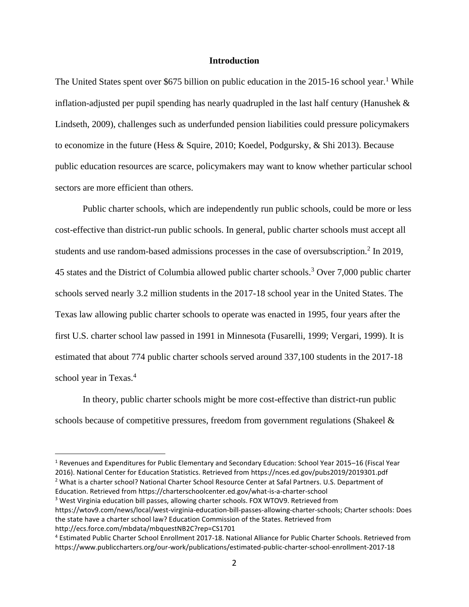## **Introduction**

The United States spent over \$675 billion on public education in the  $2015$ -16 school year.<sup>1</sup> While inflation-adjusted per pupil spending has nearly quadrupled in the last half century (Hanushek  $\&$ Lindseth, 2009), challenges such as underfunded pension liabilities could pressure policymakers to economize in the future (Hess & Squire, 2010; Koedel, Podgursky, & Shi 2013). Because public education resources are scarce, policymakers may want to know whether particular school sectors are more efficient than others.

Public charter schools, which are independently run public schools, could be more or less cost-effective than district-run public schools. In general, public charter schools must accept all students and use random-based admissions processes in the case of oversubscription.<sup>2</sup> In 2019, 45 states and the District of Columbia allowed public charter schools.<sup>3</sup> Over 7,000 public charter schools served nearly 3.2 million students in the 2017-18 school year in the United States. The Texas law allowing public charter schools to operate was enacted in 1995, four years after the first U.S. charter school law passed in 1991 in Minnesota (Fusarelli, 1999; Vergari, 1999). It is estimated that about 774 public charter schools served around 337,100 students in the 2017-18 school year in Texas.<sup>4</sup>

In theory, public charter schools might be more cost-effective than district-run public schools because of competitive pressures, freedom from government regulations (Shakeel &

<sup>3</sup> West Virginia education bill passes, allowing charter schools. FOX WTOV9. Retrieved from

<sup>1</sup> Revenues and Expenditures for Public Elementary and Secondary Education: School Year 2015–16 (Fiscal Year 2016). National Center for Education Statistics. Retrieved from https://nces.ed.gov/pubs2019/2019301.pdf <sup>2</sup> What is a charter school? National Charter School Resource Center at Safal Partners. U.S. Department of Education. Retrieved from https://charterschoolcenter.ed.gov/what-is-a-charter-school

https://wtov9.com/news/local/west-virginia-education-bill-passes-allowing-charter-schools; Charter schools: Does the state have a charter school law? Education Commission of the States. Retrieved from http://ecs.force.com/mbdata/mbquestNB2C?rep=CS1701

<sup>4</sup> Estimated Public Charter School Enrollment 2017-18. National Alliance for Public Charter Schools. Retrieved from https://www.publiccharters.org/our-work/publications/estimated-public-charter-school-enrollment-2017-18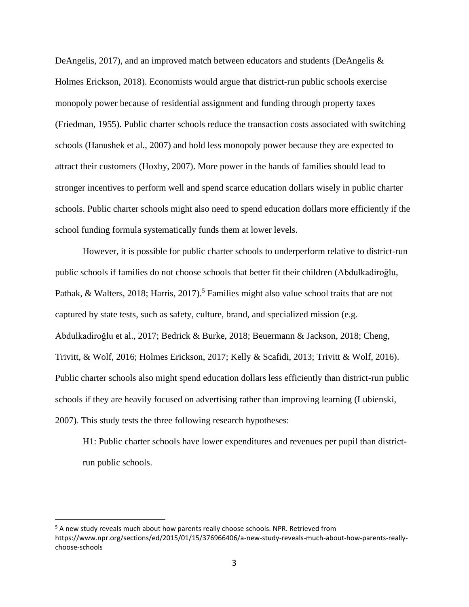DeAngelis, 2017), and an improved match between educators and students (DeAngelis & Holmes Erickson, 2018). Economists would argue that district-run public schools exercise monopoly power because of residential assignment and funding through property taxes (Friedman, 1955). Public charter schools reduce the transaction costs associated with switching schools (Hanushek et al., 2007) and hold less monopoly power because they are expected to attract their customers (Hoxby, 2007). More power in the hands of families should lead to stronger incentives to perform well and spend scarce education dollars wisely in public charter schools. Public charter schools might also need to spend education dollars more efficiently if the school funding formula systematically funds them at lower levels.

However, it is possible for public charter schools to underperform relative to district-run public schools if families do not choose schools that better fit their children (Abdulkadiroğlu, Pathak, & Walters, 2018; Harris, 2017).<sup>5</sup> Families might also value school traits that are not captured by state tests, such as safety, culture, brand, and specialized mission (e.g. Abdulkadiroğlu et al., 2017; Bedrick & Burke, 2018; Beuermann & Jackson, 2018; Cheng, Trivitt, & Wolf, 2016; Holmes Erickson, 2017; Kelly & Scafidi, 2013; Trivitt & Wolf, 2016). Public charter schools also might spend education dollars less efficiently than district-run public schools if they are heavily focused on advertising rather than improving learning (Lubienski, 2007). This study tests the three following research hypotheses:

H1: Public charter schools have lower expenditures and revenues per pupil than districtrun public schools.

<sup>&</sup>lt;sup>5</sup> A new study reveals much about how parents really choose schools. NPR. Retrieved from https://www.npr.org/sections/ed/2015/01/15/376966406/a-new-study-reveals-much-about-how-parents-reallychoose-schools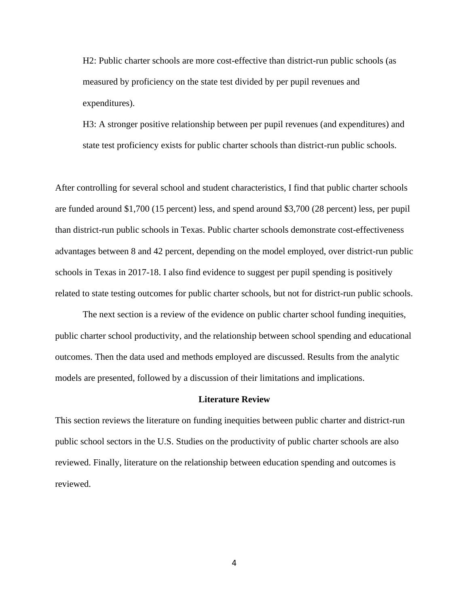H2: Public charter schools are more cost-effective than district-run public schools (as measured by proficiency on the state test divided by per pupil revenues and expenditures).

H3: A stronger positive relationship between per pupil revenues (and expenditures) and state test proficiency exists for public charter schools than district-run public schools.

After controlling for several school and student characteristics, I find that public charter schools are funded around \$1,700 (15 percent) less, and spend around \$3,700 (28 percent) less, per pupil than district-run public schools in Texas. Public charter schools demonstrate cost-effectiveness advantages between 8 and 42 percent, depending on the model employed, over district-run public schools in Texas in 2017-18. I also find evidence to suggest per pupil spending is positively related to state testing outcomes for public charter schools, but not for district-run public schools.

The next section is a review of the evidence on public charter school funding inequities, public charter school productivity, and the relationship between school spending and educational outcomes. Then the data used and methods employed are discussed. Results from the analytic models are presented, followed by a discussion of their limitations and implications.

#### **Literature Review**

This section reviews the literature on funding inequities between public charter and district-run public school sectors in the U.S. Studies on the productivity of public charter schools are also reviewed. Finally, literature on the relationship between education spending and outcomes is reviewed.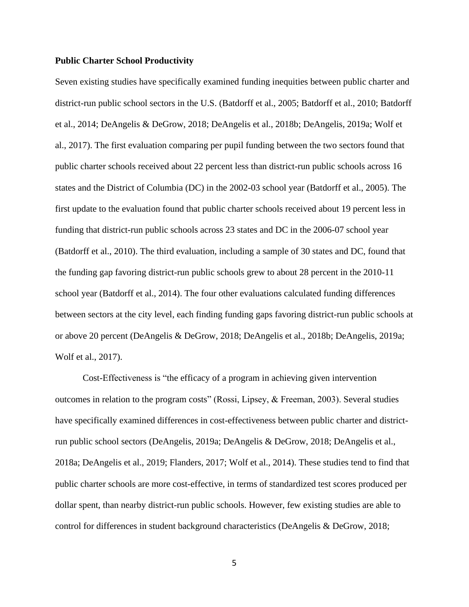#### **Public Charter School Productivity**

Seven existing studies have specifically examined funding inequities between public charter and district-run public school sectors in the U.S. (Batdorff et al., 2005; Batdorff et al., 2010; Batdorff et al., 2014; DeAngelis & DeGrow, 2018; DeAngelis et al., 2018b; DeAngelis, 2019a; Wolf et al., 2017). The first evaluation comparing per pupil funding between the two sectors found that public charter schools received about 22 percent less than district-run public schools across 16 states and the District of Columbia (DC) in the 2002-03 school year (Batdorff et al., 2005). The first update to the evaluation found that public charter schools received about 19 percent less in funding that district-run public schools across 23 states and DC in the 2006-07 school year (Batdorff et al., 2010). The third evaluation, including a sample of 30 states and DC, found that the funding gap favoring district-run public schools grew to about 28 percent in the 2010-11 school year (Batdorff et al., 2014). The four other evaluations calculated funding differences between sectors at the city level, each finding funding gaps favoring district-run public schools at or above 20 percent (DeAngelis & DeGrow, 2018; DeAngelis et al., 2018b; DeAngelis, 2019a; Wolf et al., 2017).

Cost-Effectiveness is "the efficacy of a program in achieving given intervention outcomes in relation to the program costs" (Rossi, Lipsey, & Freeman, 2003). Several studies have specifically examined differences in cost-effectiveness between public charter and districtrun public school sectors (DeAngelis, 2019a; DeAngelis & DeGrow, 2018; DeAngelis et al., 2018a; DeAngelis et al., 2019; Flanders, 2017; Wolf et al., 2014). These studies tend to find that public charter schools are more cost-effective, in terms of standardized test scores produced per dollar spent, than nearby district-run public schools. However, few existing studies are able to control for differences in student background characteristics (DeAngelis & DeGrow, 2018;

5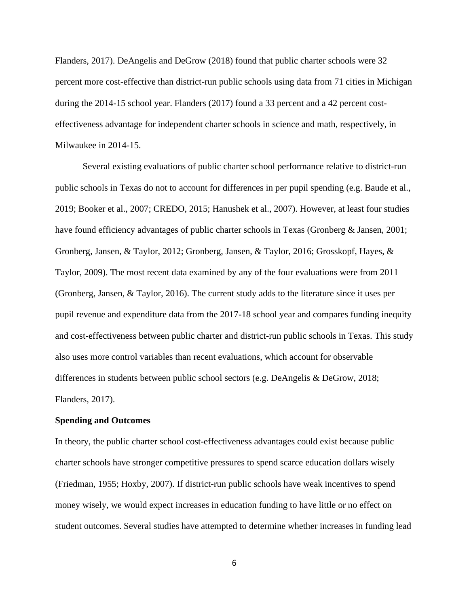Flanders, 2017). DeAngelis and DeGrow (2018) found that public charter schools were 32 percent more cost-effective than district-run public schools using data from 71 cities in Michigan during the 2014-15 school year. Flanders (2017) found a 33 percent and a 42 percent costeffectiveness advantage for independent charter schools in science and math, respectively, in Milwaukee in 2014-15.

Several existing evaluations of public charter school performance relative to district-run public schools in Texas do not to account for differences in per pupil spending (e.g. Baude et al., 2019; Booker et al., 2007; CREDO, 2015; Hanushek et al., 2007). However, at least four studies have found efficiency advantages of public charter schools in Texas (Gronberg & Jansen, 2001; Gronberg, Jansen, & Taylor, 2012; Gronberg, Jansen, & Taylor, 2016; Grosskopf, Hayes, & Taylor, 2009). The most recent data examined by any of the four evaluations were from 2011 (Gronberg, Jansen, & Taylor, 2016). The current study adds to the literature since it uses per pupil revenue and expenditure data from the 2017-18 school year and compares funding inequity and cost-effectiveness between public charter and district-run public schools in Texas. This study also uses more control variables than recent evaluations, which account for observable differences in students between public school sectors (e.g. DeAngelis & DeGrow, 2018; Flanders, 2017).

### **Spending and Outcomes**

In theory, the public charter school cost-effectiveness advantages could exist because public charter schools have stronger competitive pressures to spend scarce education dollars wisely (Friedman, 1955; Hoxby, 2007). If district-run public schools have weak incentives to spend money wisely, we would expect increases in education funding to have little or no effect on student outcomes. Several studies have attempted to determine whether increases in funding lead

6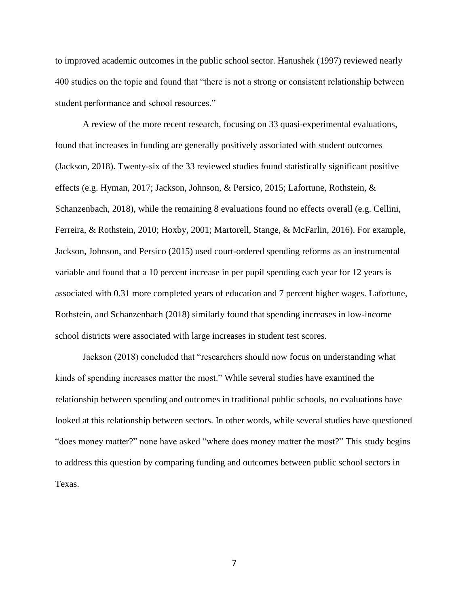to improved academic outcomes in the public school sector. Hanushek (1997) reviewed nearly 400 studies on the topic and found that "there is not a strong or consistent relationship between student performance and school resources."

A review of the more recent research, focusing on 33 quasi-experimental evaluations, found that increases in funding are generally positively associated with student outcomes (Jackson, 2018). Twenty-six of the 33 reviewed studies found statistically significant positive effects (e.g. Hyman, 2017; Jackson, Johnson, & Persico, 2015; Lafortune, Rothstein, & Schanzenbach, 2018), while the remaining 8 evaluations found no effects overall (e.g. Cellini, Ferreira, & Rothstein, 2010; Hoxby, 2001; Martorell, Stange, & McFarlin, 2016). For example, Jackson, Johnson, and Persico (2015) used court-ordered spending reforms as an instrumental variable and found that a 10 percent increase in per pupil spending each year for 12 years is associated with 0.31 more completed years of education and 7 percent higher wages. Lafortune, Rothstein, and Schanzenbach (2018) similarly found that spending increases in low-income school districts were associated with large increases in student test scores.

Jackson (2018) concluded that "researchers should now focus on understanding what kinds of spending increases matter the most." While several studies have examined the relationship between spending and outcomes in traditional public schools, no evaluations have looked at this relationship between sectors. In other words, while several studies have questioned "does money matter?" none have asked "where does money matter the most?" This study begins to address this question by comparing funding and outcomes between public school sectors in Texas.

7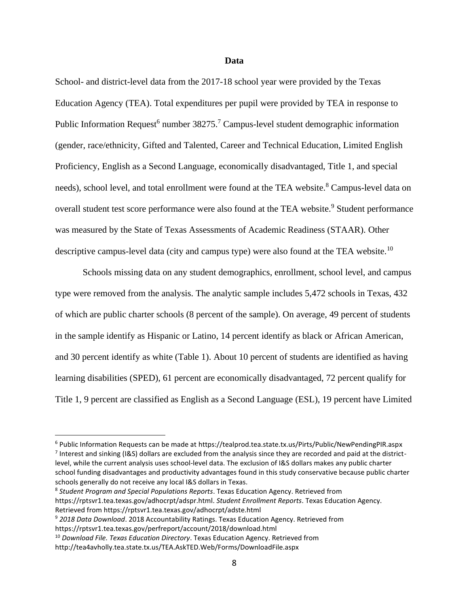## **Data**

School- and district-level data from the 2017-18 school year were provided by the Texas Education Agency (TEA). Total expenditures per pupil were provided by TEA in response to Public Information Request<sup>6</sup> number  $38275$ .<sup>7</sup> Campus-level student demographic information (gender, race/ethnicity, Gifted and Talented, Career and Technical Education, Limited English Proficiency, English as a Second Language, economically disadvantaged, Title 1, and special needs), school level, and total enrollment were found at the TEA website.<sup>8</sup> Campus-level data on overall student test score performance were also found at the TEA website.<sup>9</sup> Student performance was measured by the State of Texas Assessments of Academic Readiness (STAAR). Other descriptive campus-level data (city and campus type) were also found at the TEA website.<sup>10</sup>

Schools missing data on any student demographics, enrollment, school level, and campus type were removed from the analysis. The analytic sample includes 5,472 schools in Texas, 432 of which are public charter schools (8 percent of the sample). On average, 49 percent of students in the sample identify as Hispanic or Latino, 14 percent identify as black or African American, and 30 percent identify as white (Table 1). About 10 percent of students are identified as having learning disabilities (SPED), 61 percent are economically disadvantaged, 72 percent qualify for Title 1, 9 percent are classified as English as a Second Language (ESL), 19 percent have Limited

<sup>9</sup> *2018 Data Download*. 2018 Accountability Ratings. Texas Education Agency. Retrieved from https://rptsvr1.tea.texas.gov/perfreport/account/2018/download.html

<sup>6</sup> Public Information Requests can be made at https://tealprod.tea.state.tx.us/Pirts/Public/NewPendingPIR.aspx  $^7$  Interest and sinking (I&S) dollars are excluded from the analysis since they are recorded and paid at the districtlevel, while the current analysis uses school-level data. The exclusion of I&S dollars makes any public charter school funding disadvantages and productivity advantages found in this study conservative because public charter schools generally do not receive any local I&S dollars in Texas.

<sup>8</sup> *Student Program and Special Populations Reports*. Texas Education Agency. Retrieved from https://rptsvr1.tea.texas.gov/adhocrpt/adspr.html. *Student Enrollment Reports*. Texas Education Agency. Retrieved from https://rptsvr1.tea.texas.gov/adhocrpt/adste.html

<sup>10</sup> *Download File. Texas Education Directory*. Texas Education Agency. Retrieved from http://tea4avholly.tea.state.tx.us/TEA.AskTED.Web/Forms/DownloadFile.aspx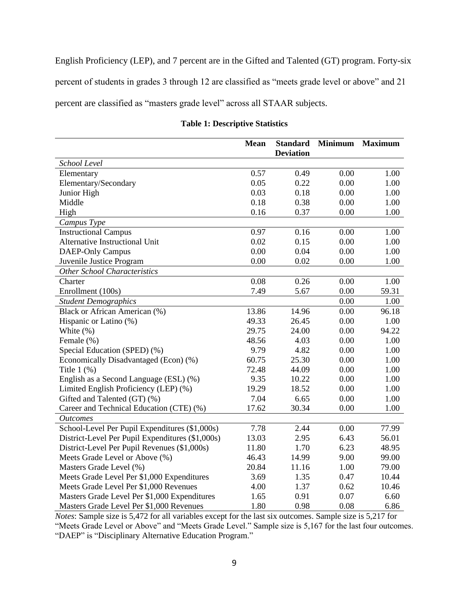English Proficiency (LEP), and 7 percent are in the Gifted and Talented (GT) program. Forty-six percent of students in grades 3 through 12 are classified as "meets grade level or above" and 21 percent are classified as "masters grade level" across all STAAR subjects.

|                                                  | <b>Mean</b> | <b>Standard</b><br><b>Deviation</b> | <b>Minimum</b> | <b>Maximum</b> |
|--------------------------------------------------|-------------|-------------------------------------|----------------|----------------|
| School Level                                     |             |                                     |                |                |
| Elementary                                       | 0.57        | 0.49                                | 0.00           | 1.00           |
| Elementary/Secondary                             | 0.05        | 0.22                                | 0.00           | 1.00           |
| Junior High                                      | 0.03        | 0.18                                | 0.00           | 1.00           |
| Middle                                           | 0.18        | 0.38                                | 0.00           | 1.00           |
| High                                             | 0.16        | 0.37                                | 0.00           | 1.00           |
| Campus Type                                      |             |                                     |                |                |
| <b>Instructional Campus</b>                      | 0.97        | 0.16                                | 0.00           | 1.00           |
| Alternative Instructional Unit                   | 0.02        | 0.15                                | 0.00           | 1.00           |
| <b>DAEP-Only Campus</b>                          | 0.00        | 0.04                                | 0.00           | 1.00           |
| Juvenile Justice Program                         | 0.00        | 0.02                                | 0.00           | 1.00           |
| <b>Other School Characteristics</b>              |             |                                     |                |                |
| Charter                                          | 0.08        | 0.26                                | 0.00           | 1.00           |
| Enrollment (100s)                                | 7.49        | 5.67                                | 0.00           | 59.31          |
| <b>Student Demographics</b>                      |             |                                     | 0.00           | 1.00           |
| Black or African American (%)                    | 13.86       | 14.96                               | 0.00           | 96.18          |
| Hispanic or Latino (%)                           | 49.33       | 26.45                               | 0.00           | 1.00           |
| White $(\%)$                                     | 29.75       | 24.00                               | 0.00           | 94.22          |
| Female (%)                                       | 48.56       | 4.03                                | 0.00           | 1.00           |
| Special Education (SPED) (%)                     | 9.79        | 4.82                                | 0.00           | 1.00           |
| Economically Disadvantaged (Econ) (%)            | 60.75       | 25.30                               | 0.00           | 1.00           |
| Title $1(%)$                                     | 72.48       | 44.09                               | 0.00           | 1.00           |
| English as a Second Language (ESL) (%)           | 9.35        | 10.22                               | 0.00           | 1.00           |
| Limited English Proficiency (LEP) (%)            | 19.29       | 18.52                               | 0.00           | 1.00           |
| Gifted and Talented (GT) (%)                     | 7.04        | 6.65                                | 0.00           | 1.00           |
| Career and Technical Education (CTE) (%)         | 17.62       | 30.34                               | 0.00           | 1.00           |
| <b>Outcomes</b>                                  |             |                                     |                |                |
| School-Level Per Pupil Expenditures (\$1,000s)   | 7.78        | 2.44                                | 0.00           | 77.99          |
| District-Level Per Pupil Expenditures (\$1,000s) | 13.03       | 2.95                                | 6.43           | 56.01          |
| District-Level Per Pupil Revenues (\$1,000s)     | 11.80       | 1.70                                | 6.23           | 48.95          |
| Meets Grade Level or Above (%)                   | 46.43       | 14.99                               | 9.00           | 99.00          |
| Masters Grade Level (%)                          | 20.84       | 11.16                               | 1.00           | 79.00          |
| Meets Grade Level Per \$1,000 Expenditures       | 3.69        | 1.35                                | 0.47           | 10.44          |
| Meets Grade Level Per \$1,000 Revenues           | 4.00        | 1.37                                | 0.62           | 10.46          |
| Masters Grade Level Per \$1,000 Expenditures     | 1.65        | 0.91                                | 0.07           | 6.60           |
| Masters Grade Level Per \$1,000 Revenues         | 1.80        | 0.98                                | 0.08           | 6.86           |

## **Table 1: Descriptive Statistics**

*Notes*: Sample size is 5,472 for all variables except for the last six outcomes. Sample size is 5,217 for "Meets Grade Level or Above" and "Meets Grade Level." Sample size is 5,167 for the last four outcomes. "DAEP" is "Disciplinary Alternative Education Program."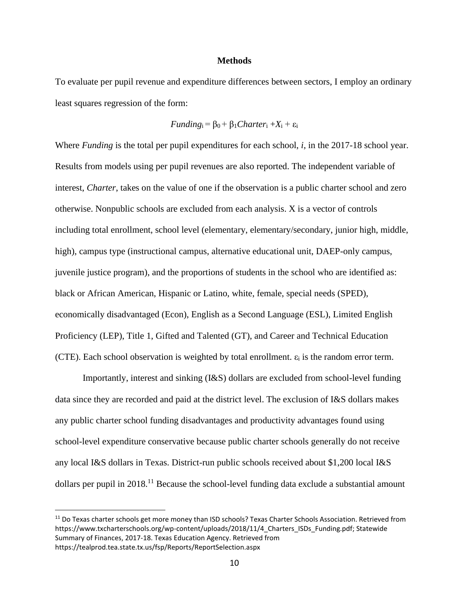## **Methods**

To evaluate per pupil revenue and expenditure differences between sectors, I employ an ordinary least squares regression of the form:

*Funding*<sub>i</sub> = 
$$
\beta_0 + \beta_1
$$
*Character*<sub>i</sub> +  $X_i + \epsilon_i$ 

Where *Funding* is the total per pupil expenditures for each school, *i*, in the 2017-18 school year. Results from models using per pupil revenues are also reported. The independent variable of interest, *Charter*, takes on the value of one if the observation is a public charter school and zero otherwise. Nonpublic schools are excluded from each analysis. X is a vector of controls including total enrollment, school level (elementary, elementary/secondary, junior high, middle, high), campus type (instructional campus, alternative educational unit, DAEP-only campus, juvenile justice program), and the proportions of students in the school who are identified as: black or African American, Hispanic or Latino, white, female, special needs (SPED), economically disadvantaged (Econ), English as a Second Language (ESL), Limited English Proficiency (LEP), Title 1, Gifted and Talented (GT), and Career and Technical Education (CTE). Each school observation is weighted by total enrollment.  $\varepsilon_i$  is the random error term.

Importantly, interest and sinking (I&S) dollars are excluded from school-level funding data since they are recorded and paid at the district level. The exclusion of I&S dollars makes any public charter school funding disadvantages and productivity advantages found using school-level expenditure conservative because public charter schools generally do not receive any local I&S dollars in Texas. District-run public schools received about \$1,200 local I&S dollars per pupil in  $2018$ <sup> $11$ </sup> Because the school-level funding data exclude a substantial amount

<sup>&</sup>lt;sup>11</sup> Do Texas charter schools get more money than ISD schools? Texas Charter Schools Association. Retrieved from https://www.txcharterschools.org/wp-content/uploads/2018/11/4 Charters ISDs Funding.pdf; Statewide Summary of Finances, 2017-18. Texas Education Agency. Retrieved from https://tealprod.tea.state.tx.us/fsp/Reports/ReportSelection.aspx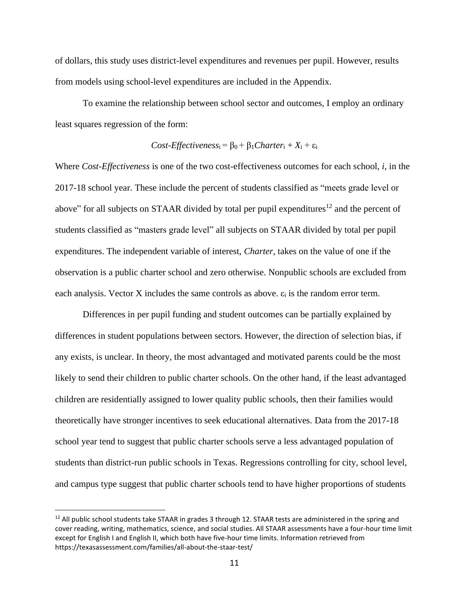of dollars, this study uses district-level expenditures and revenues per pupil. However, results from models using school-level expenditures are included in the Appendix.

To examine the relationship between school sector and outcomes, I employ an ordinary least squares regression of the form:

$$
Cost\text{-}Effectiveness_i = \beta_0 + \beta_1Character_i + X_i + \epsilon_i
$$

Where *Cost-Effectiveness* is one of the two cost-effectiveness outcomes for each school, *i*, in the 2017-18 school year. These include the percent of students classified as "meets grade level or above" for all subjects on STAAR divided by total per pupil expenditures<sup>12</sup> and the percent of students classified as "masters grade level" all subjects on STAAR divided by total per pupil expenditures. The independent variable of interest, *Charter*, takes on the value of one if the observation is a public charter school and zero otherwise. Nonpublic schools are excluded from each analysis. Vector X includes the same controls as above.  $\varepsilon_i$  is the random error term.

Differences in per pupil funding and student outcomes can be partially explained by differences in student populations between sectors. However, the direction of selection bias, if any exists, is unclear. In theory, the most advantaged and motivated parents could be the most likely to send their children to public charter schools. On the other hand, if the least advantaged children are residentially assigned to lower quality public schools, then their families would theoretically have stronger incentives to seek educational alternatives. Data from the 2017-18 school year tend to suggest that public charter schools serve a less advantaged population of students than district-run public schools in Texas. Regressions controlling for city, school level, and campus type suggest that public charter schools tend to have higher proportions of students

 $12$  All public school students take STAAR in grades 3 through 12. STAAR tests are administered in the spring and cover reading, writing, mathematics, science, and social studies. All STAAR assessments have a four-hour time limit except for English I and English II, which both have five-hour time limits. Information retrieved from https://texasassessment.com/families/all-about-the-staar-test/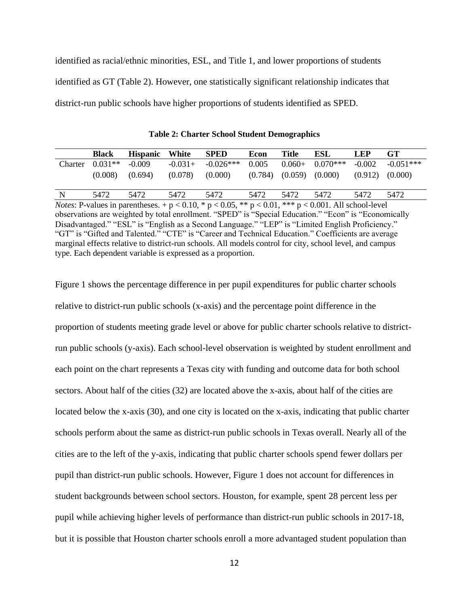identified as racial/ethnic minorities, ESL, and Title 1, and lower proportions of students identified as GT (Table 2). However, one statistically significant relationship indicates that district-run public schools have higher proportions of students identified as SPED.

|                                                                                                                          | <b>Black</b> | <b>Hispanic</b> | White     | <b>SPED</b>                                                                                     | Econ    | <b>Title</b> | ESL        | <b>LEP</b> | GT.         |
|--------------------------------------------------------------------------------------------------------------------------|--------------|-----------------|-----------|-------------------------------------------------------------------------------------------------|---------|--------------|------------|------------|-------------|
| Charter                                                                                                                  | $0.031**$    | $-0.009$        | $-0.031+$ | $-0.026***$                                                                                     | 0.005   | $0.060+$     | $0.070***$ | $-0.002$   | $-0.051***$ |
|                                                                                                                          | (0.008)      | (0.694)         | (0.078)   | (0.000)                                                                                         | (0.784) | (0.059)      | (0.000)    | (0.912)    | (0.000)     |
|                                                                                                                          |              |                 |           |                                                                                                 |         |              |            |            |             |
| N                                                                                                                        | 5472         | 5472            | 5472      | 5472                                                                                            | 5472    | 5472         | 5472       | 5472       | 5472        |
| <i>Notes</i> : P-values in parentheses. + $p < 0.10$ , * $p < 0.05$ , ** $p < 0.01$ , *** $p < 0.001$ . All school-level |              |                 |           |                                                                                                 |         |              |            |            |             |
| observations are weighted by total enrollment. "SPED" is "Special Education." "Econ" is "Economically                    |              |                 |           |                                                                                                 |         |              |            |            |             |
|                                                                                                                          |              |                 |           | Disadvantaged ""ESI" is "English as a Second Language" "I ED" is "I inited English Drafigionay" |         |              |            |            |             |

**Table 2: Charter School Student Demographics**

Disadvantaged." "ESL" is "English as a Second Language." "LEP" is "Limited English Proficiency." "GT" is "Gifted and Talented." "CTE" is "Career and Technical Education." Coefficients are average marginal effects relative to district-run schools. All models control for city, school level, and campus type. Each dependent variable is expressed as a proportion.

Figure 1 shows the percentage difference in per pupil expenditures for public charter schools relative to district-run public schools (x-axis) and the percentage point difference in the proportion of students meeting grade level or above for public charter schools relative to districtrun public schools (y-axis). Each school-level observation is weighted by student enrollment and each point on the chart represents a Texas city with funding and outcome data for both school sectors. About half of the cities (32) are located above the x-axis, about half of the cities are located below the x-axis (30), and one city is located on the x-axis, indicating that public charter schools perform about the same as district-run public schools in Texas overall. Nearly all of the cities are to the left of the y-axis, indicating that public charter schools spend fewer dollars per pupil than district-run public schools. However, Figure 1 does not account for differences in student backgrounds between school sectors. Houston, for example, spent 28 percent less per pupil while achieving higher levels of performance than district-run public schools in 2017-18, but it is possible that Houston charter schools enroll a more advantaged student population than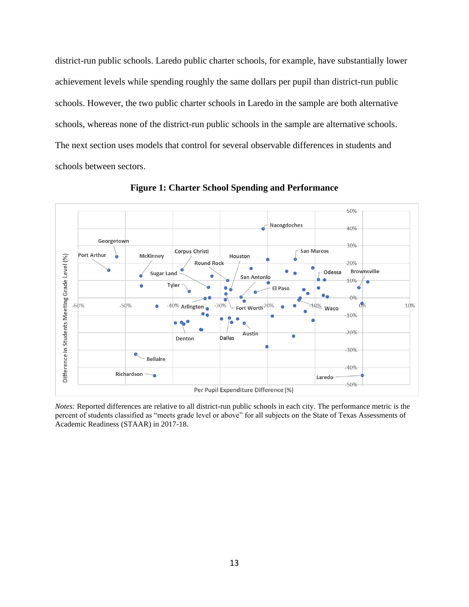district-run public schools. Laredo public charter schools, for example, have substantially lower achievement levels while spending roughly the same dollars per pupil than district-run public schools. However, the two public charter schools in Laredo in the sample are both alternative schools, whereas none of the district-run public schools in the sample are alternative schools. The next section uses models that control for several observable differences in students and schools between sectors.



**Figure 1: Charter School Spending and Performance**

*Notes:* Reported differences are relative to all district-run public schools in each city. The performance metric is the percent of students classified as "meets grade level or above" for all subjects on the State of Texas Assessments of Academic Readiness (STAAR) in 2017-18.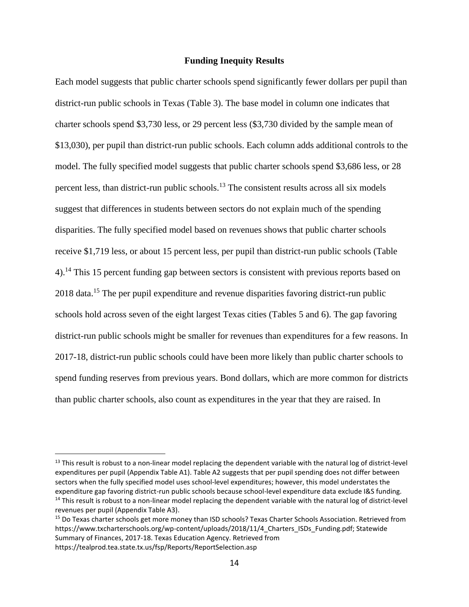## **Funding Inequity Results**

Each model suggests that public charter schools spend significantly fewer dollars per pupil than district-run public schools in Texas (Table 3). The base model in column one indicates that charter schools spend \$3,730 less, or 29 percent less (\$3,730 divided by the sample mean of \$13,030), per pupil than district-run public schools. Each column adds additional controls to the model. The fully specified model suggests that public charter schools spend \$3,686 less, or 28 percent less, than district-run public schools.<sup>13</sup> The consistent results across all six models suggest that differences in students between sectors do not explain much of the spending disparities. The fully specified model based on revenues shows that public charter schools receive \$1,719 less, or about 15 percent less, per pupil than district-run public schools (Table 4).<sup>14</sup> This 15 percent funding gap between sectors is consistent with previous reports based on 2018 data.<sup>15</sup> The per pupil expenditure and revenue disparities favoring district-run public schools hold across seven of the eight largest Texas cities (Tables 5 and 6). The gap favoring district-run public schools might be smaller for revenues than expenditures for a few reasons. In 2017-18, district-run public schools could have been more likely than public charter schools to spend funding reserves from previous years. Bond dollars, which are more common for districts than public charter schools, also count as expenditures in the year that they are raised. In

 $13$  This result is robust to a non-linear model replacing the dependent variable with the natural log of district-level expenditures per pupil (Appendix Table A1). Table A2 suggests that per pupil spending does not differ between sectors when the fully specified model uses school-level expenditures; however, this model understates the expenditure gap favoring district-run public schools because school-level expenditure data exclude I&S funding. <sup>14</sup> This result is robust to a non-linear model replacing the dependent variable with the natural log of district-level revenues per pupil (Appendix Table A3).

<sup>15</sup> Do Texas charter schools get more money than ISD schools? Texas Charter Schools Association. Retrieved from https://www.txcharterschools.org/wp-content/uploads/2018/11/4 Charters ISDs Funding.pdf; Statewide Summary of Finances, 2017-18. Texas Education Agency. Retrieved from https://tealprod.tea.state.tx.us/fsp/Reports/ReportSelection.asp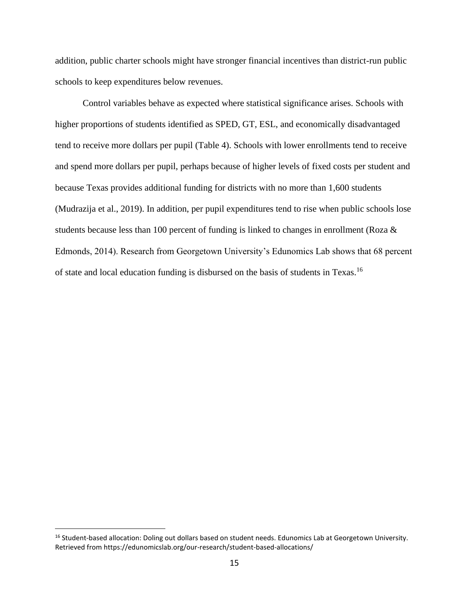addition, public charter schools might have stronger financial incentives than district-run public schools to keep expenditures below revenues.

Control variables behave as expected where statistical significance arises. Schools with higher proportions of students identified as SPED, GT, ESL, and economically disadvantaged tend to receive more dollars per pupil (Table 4). Schools with lower enrollments tend to receive and spend more dollars per pupil, perhaps because of higher levels of fixed costs per student and because Texas provides additional funding for districts with no more than 1,600 students (Mudrazija et al., 2019). In addition, per pupil expenditures tend to rise when public schools lose students because less than 100 percent of funding is linked to changes in enrollment (Roza & Edmonds, 2014). Research from Georgetown University's Edunomics Lab shows that 68 percent of state and local education funding is disbursed on the basis of students in Texas.<sup>16</sup>

<sup>&</sup>lt;sup>16</sup> Student-based allocation: Doling out dollars based on student needs. Edunomics Lab at Georgetown University. Retrieved from https://edunomicslab.org/our-research/student-based-allocations/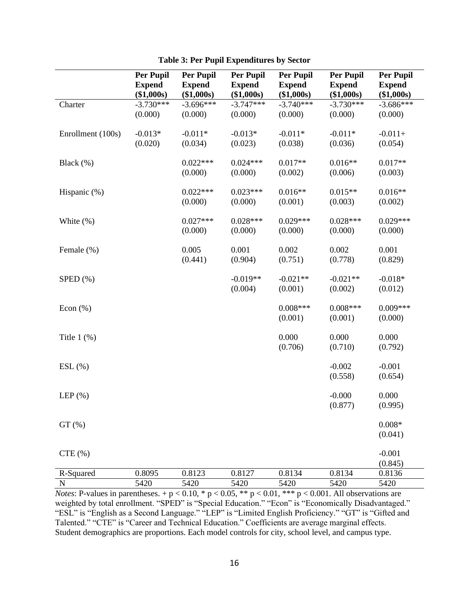|                   | <b>Per Pupil</b><br><b>Expend</b><br>(\$1,000s) | <b>Per Pupil</b><br><b>Expend</b><br>(\$1,000s) | Per Pupil<br><b>Expend</b><br>(\$1,000s) | <b>Per Pupil</b><br><b>Expend</b><br>(\$1,000s) | Per Pupil<br><b>Expend</b><br>(\$1,000s) | <b>Per Pupil</b><br><b>Expend</b><br>(\$1,000s) |
|-------------------|-------------------------------------------------|-------------------------------------------------|------------------------------------------|-------------------------------------------------|------------------------------------------|-------------------------------------------------|
| Charter           | $-3.730***$<br>(0.000)                          | $-3.696***$<br>(0.000)                          | $-3.747***$<br>(0.000)                   | $-3.740***$<br>(0.000)                          | $-3.730***$<br>(0.000)                   | $-3.686***$<br>(0.000)                          |
| Enrollment (100s) | $-0.013*$<br>(0.020)                            | $-0.011*$<br>(0.034)                            | $-0.013*$<br>(0.023)                     | $-0.011*$<br>(0.038)                            | $-0.011*$<br>(0.036)                     | $-0.011+$<br>(0.054)                            |
| Black $(\%)$      |                                                 | $0.022***$<br>(0.000)                           | $0.024***$<br>(0.000)                    | $0.017**$<br>(0.002)                            | $0.016**$<br>(0.006)                     | $0.017**$<br>(0.003)                            |
| Hispanic (%)      |                                                 | $0.022***$<br>(0.000)                           | $0.023***$<br>(0.000)                    | $0.016**$<br>(0.001)                            | $0.015**$<br>(0.003)                     | $0.016**$<br>(0.002)                            |
| White $(\%)$      |                                                 | $0.027***$<br>(0.000)                           | $0.028***$<br>(0.000)                    | $0.029***$<br>(0.000)                           | $0.028***$<br>(0.000)                    | $0.029***$<br>(0.000)                           |
| Female (%)        |                                                 | 0.005<br>(0.441)                                | 0.001<br>(0.904)                         | 0.002<br>(0.751)                                | 0.002<br>(0.778)                         | 0.001<br>(0.829)                                |
| SPED (%)          |                                                 |                                                 | $-0.019**$<br>(0.004)                    | $-0.021**$<br>(0.001)                           | $-0.021**$<br>(0.002)                    | $-0.018*$<br>(0.012)                            |
| Econ $(\%)$       |                                                 |                                                 |                                          | $0.008***$<br>(0.001)                           | $0.008***$<br>(0.001)                    | $0.009***$<br>(0.000)                           |
| Title $1$ $(\%)$  |                                                 |                                                 |                                          | 0.000<br>(0.706)                                | 0.000<br>(0.710)                         | 0.000<br>(0.792)                                |
| $ESL(\%)$         |                                                 |                                                 |                                          |                                                 | $-0.002$<br>(0.558)                      | $-0.001$<br>(0.654)                             |
| LEP $(\%)$        |                                                 |                                                 |                                          |                                                 | $-0.000$<br>(0.877)                      | 0.000<br>(0.995)                                |
| GT(%)             |                                                 |                                                 |                                          |                                                 |                                          | $0.008*$<br>(0.041)                             |
| CTE(%)            |                                                 |                                                 |                                          |                                                 |                                          | $-0.001$<br>(0.845)                             |
| R-Squared         | 0.8095                                          | 0.8123                                          | 0.8127                                   | 0.8134                                          | 0.8134                                   | 0.8136                                          |
| $\mathbf N$       | 5420                                            | 5420                                            | 5420                                     | 5420                                            | 5420                                     | 5420                                            |

|  |  |  | <b>Table 3: Per Pupil Expenditures by Sector</b> |  |  |
|--|--|--|--------------------------------------------------|--|--|
|--|--|--|--------------------------------------------------|--|--|

*Notes*: P-values in parentheses.  $+p < 0.10$ , \*  $p < 0.05$ , \*\*  $p < 0.01$ , \*\*\*  $p < 0.001$ . All observations are weighted by total enrollment. "SPED" is "Special Education." "Econ" is "Economically Disadvantaged." "ESL" is "English as a Second Language." "LEP" is "Limited English Proficiency." "GT" is "Gifted and Talented." "CTE" is "Career and Technical Education." Coefficients are average marginal effects. Student demographics are proportions. Each model controls for city, school level, and campus type.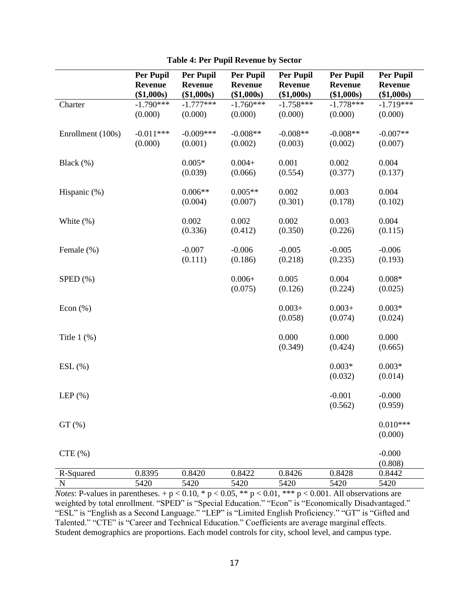|                   | <b>Per Pupil</b><br><b>Revenue</b><br>(\$1,000s) | <b>Per Pupil</b><br><b>Revenue</b><br>(\$1,000s) | <b>Per Pupil</b><br><b>Revenue</b><br>(\$1,000s) | <b>Per Pupil</b><br><b>Revenue</b><br>(\$1,000s) | <b>Per Pupil</b><br><b>Revenue</b><br>(\$1,000s) | <b>Per Pupil</b><br><b>Revenue</b><br>(\$1,000s) |
|-------------------|--------------------------------------------------|--------------------------------------------------|--------------------------------------------------|--------------------------------------------------|--------------------------------------------------|--------------------------------------------------|
| Charter           | $-1.790***$<br>(0.000)                           | $-1.777***$<br>(0.000)                           | $-1.760***$<br>(0.000)                           | $-1.758***$<br>(0.000)                           | $-1.778***$<br>(0.000)                           | $-1.719***$<br>(0.000)                           |
| Enrollment (100s) | $-0.011***$<br>(0.000)                           | $-0.009***$<br>(0.001)                           | $-0.008**$<br>(0.002)                            | $-0.008**$<br>(0.003)                            | $-0.008**$<br>(0.002)                            | $-0.007**$<br>(0.007)                            |
| Black $(\%)$      |                                                  | $0.005*$<br>(0.039)                              | $0.004 +$<br>(0.066)                             | 0.001<br>(0.554)                                 | 0.002<br>(0.377)                                 | 0.004<br>(0.137)                                 |
| Hispanic (%)      |                                                  | $0.006**$<br>(0.004)                             | $0.005**$<br>(0.007)                             | 0.002<br>(0.301)                                 | 0.003<br>(0.178)                                 | 0.004<br>(0.102)                                 |
| White $(\%)$      |                                                  | 0.002<br>(0.336)                                 | 0.002<br>(0.412)                                 | 0.002<br>(0.350)                                 | 0.003<br>(0.226)                                 | 0.004<br>(0.115)                                 |
| Female (%)        |                                                  | $-0.007$<br>(0.111)                              | $-0.006$<br>(0.186)                              | $-0.005$<br>(0.218)                              | $-0.005$<br>(0.235)                              | $-0.006$<br>(0.193)                              |
| $SPED$ $(\%)$     |                                                  |                                                  | $0.006 +$<br>(0.075)                             | 0.005<br>(0.126)                                 | 0.004<br>(0.224)                                 | $0.008*$<br>(0.025)                              |
| Econ $(\%)$       |                                                  |                                                  |                                                  | $0.003+$<br>(0.058)                              | $0.003+$<br>(0.074)                              | $0.003*$<br>(0.024)                              |
| Title $1$ $(\%)$  |                                                  |                                                  |                                                  | 0.000<br>(0.349)                                 | 0.000<br>(0.424)                                 | 0.000<br>(0.665)                                 |
| $ESL(\%)$         |                                                  |                                                  |                                                  |                                                  | $0.003*$<br>(0.032)                              | $0.003*$<br>(0.014)                              |
| LEP $(\%)$        |                                                  |                                                  |                                                  |                                                  | $-0.001$<br>(0.562)                              | $-0.000$<br>(0.959)                              |
| GT(%)             |                                                  |                                                  |                                                  |                                                  |                                                  | $0.010***$<br>(0.000)                            |
| CTE(%)            |                                                  |                                                  |                                                  |                                                  |                                                  | $-0.000$<br>(0.808)                              |
| R-Squared         | 0.8395                                           | 0.8420                                           | 0.8422                                           | 0.8426                                           | 0.8428                                           | 0.8442                                           |
| $\mathbf N$       | 5420                                             | 5420                                             | 5420                                             | 5420                                             | 5420                                             | 5420                                             |

**Table 4: Per Pupil Revenue by Sector**

*Notes*: P-values in parentheses. +  $p < 0.10$ , \*  $p < 0.05$ , \*\*  $p < 0.01$ , \*\*\*  $p < 0.001$ . All observations are weighted by total enrollment. "SPED" is "Special Education." "Econ" is "Economically Disadvantaged." "ESL" is "English as a Second Language." "LEP" is "Limited English Proficiency." "GT" is "Gifted and Talented." "CTE" is "Career and Technical Education." Coefficients are average marginal effects. Student demographics are proportions. Each model controls for city, school level, and campus type.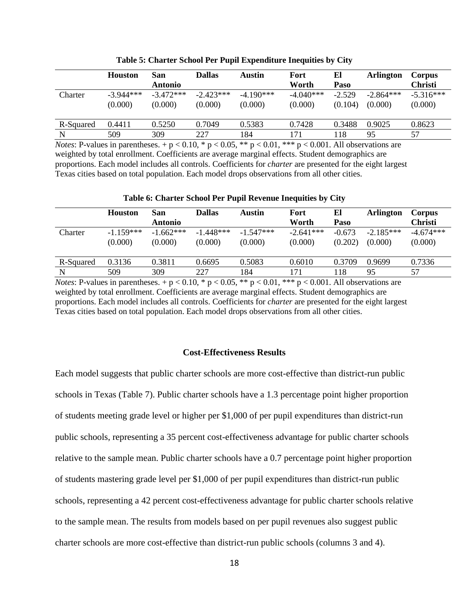|           | <b>Houston</b> | San            | <b>Dallas</b> | Austin                             | Fort        | El       | <b>Arlington</b> | Corpus         |
|-----------|----------------|----------------|---------------|------------------------------------|-------------|----------|------------------|----------------|
|           |                | <b>Antonio</b> |               |                                    | Worth       | Paso     |                  | <b>Christi</b> |
| Charter   | $-3.944***$    | $-3.472***$    | $-2.423***$   | $-4.190***$                        | $-4.040***$ | $-2.529$ | $-2.864***$      | $-5.316***$    |
|           | (0.000)        | (0.000)        | (0.000)       | (0.000)                            | (0.000)     | (0.104)  | (0.000)          | (0.000)        |
|           |                |                |               |                                    |             |          |                  |                |
| R-Squared | 0.4411         | 0.5250         | 0.7049        | 0.5383                             | 0.7428      | 0.3488   | 0.9025           | 0.8623         |
| N         | 509            | 309            | 227           | 184                                | 171         | 118      | 95               | 57             |
| ---       |                |                | .<br>-----    | $\sim$ $\sim$ $\sim$ $\sim$ $\sim$ |             | .        |                  |                |

**Table 5: Charter School Per Pupil Expenditure Inequities by City**

*Notes*: P-values in parentheses.  $+p < 0.10$ , \*  $p < 0.05$ , \*\*p  $< 0.01$ , \*\*\*p  $< 0.001$ . All observations are weighted by total enrollment. Coefficients are average marginal effects. Student demographics are proportions. Each model includes all controls. Coefficients for *charter* are presented for the eight largest Texas cities based on total population. Each model drops observations from all other cities.

|           | <b>Houston</b>         | San<br><b>Antonio</b>  | <b>Dallas</b>          | Austin                 | Fort<br>Worth          | El<br>Paso          | <b>Arlington</b>       | Corpus<br><b>Christi</b> |
|-----------|------------------------|------------------------|------------------------|------------------------|------------------------|---------------------|------------------------|--------------------------|
| Charter   | $-1.159***$<br>(0.000) | $-1.662***$<br>(0.000) | $-1.448***$<br>(0.000) | $-1.547***$<br>(0.000) | $-2.641***$<br>(0.000) | $-0.673$<br>(0.202) | $-2.185***$<br>(0.000) | $-4.674***$<br>(0.000)   |
| R-Squared | 0.3136                 | 0.3811                 | 0.6695                 | 0.5083                 | 0.6010                 | 0.3709              | 0.9699                 | 0.7336                   |
| N         | 509                    | 309                    | 227                    | 184                    | 171                    | 118                 | 95                     | 57                       |

*Notes*: P-values in parentheses.  $+p < 0.10$ , \*  $p < 0.05$ , \*\*  $p < 0.01$ , \*\*\*  $p < 0.001$ . All observations are weighted by total enrollment. Coefficients are average marginal effects. Student demographics are proportions. Each model includes all controls. Coefficients for *charter* are presented for the eight largest Texas cities based on total population. Each model drops observations from all other cities.

## **Cost-Effectiveness Results**

Each model suggests that public charter schools are more cost-effective than district-run public schools in Texas (Table 7). Public charter schools have a 1.3 percentage point higher proportion of students meeting grade level or higher per \$1,000 of per pupil expenditures than district-run public schools, representing a 35 percent cost-effectiveness advantage for public charter schools relative to the sample mean. Public charter schools have a 0.7 percentage point higher proportion of students mastering grade level per \$1,000 of per pupil expenditures than district-run public schools, representing a 42 percent cost-effectiveness advantage for public charter schools relative to the sample mean. The results from models based on per pupil revenues also suggest public charter schools are more cost-effective than district-run public schools (columns 3 and 4).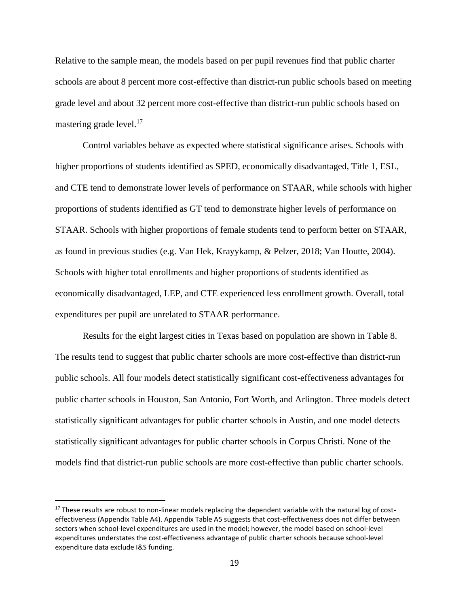Relative to the sample mean, the models based on per pupil revenues find that public charter schools are about 8 percent more cost-effective than district-run public schools based on meeting grade level and about 32 percent more cost-effective than district-run public schools based on mastering grade level. $17$ 

Control variables behave as expected where statistical significance arises. Schools with higher proportions of students identified as SPED, economically disadvantaged, Title 1, ESL, and CTE tend to demonstrate lower levels of performance on STAAR, while schools with higher proportions of students identified as GT tend to demonstrate higher levels of performance on STAAR. Schools with higher proportions of female students tend to perform better on STAAR, as found in previous studies (e.g. Van Hek, Krayykamp, & Pelzer, 2018; Van Houtte, 2004). Schools with higher total enrollments and higher proportions of students identified as economically disadvantaged, LEP, and CTE experienced less enrollment growth. Overall, total expenditures per pupil are unrelated to STAAR performance.

Results for the eight largest cities in Texas based on population are shown in Table 8. The results tend to suggest that public charter schools are more cost-effective than district-run public schools. All four models detect statistically significant cost-effectiveness advantages for public charter schools in Houston, San Antonio, Fort Worth, and Arlington. Three models detect statistically significant advantages for public charter schools in Austin, and one model detects statistically significant advantages for public charter schools in Corpus Christi. None of the models find that district-run public schools are more cost-effective than public charter schools.

<sup>&</sup>lt;sup>17</sup> These results are robust to non-linear models replacing the dependent variable with the natural log of costeffectiveness (Appendix Table A4). Appendix Table A5 suggests that cost-effectiveness does not differ between sectors when school-level expenditures are used in the model; however, the model based on school-level expenditures understates the cost-effectiveness advantage of public charter schools because school-level expenditure data exclude I&S funding.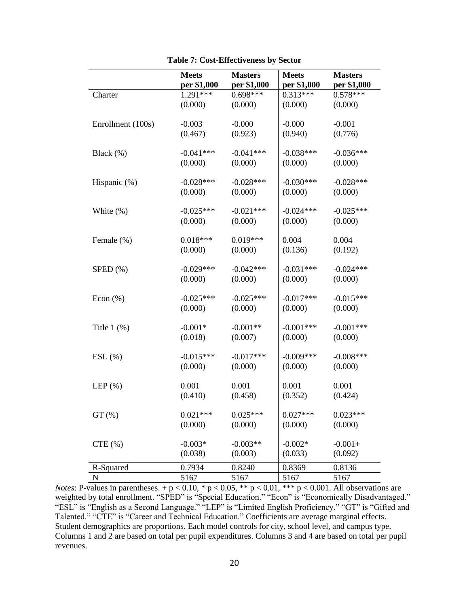|                   | <b>Meets</b> | <b>Masters</b> | <b>Meets</b> | <b>Masters</b> |
|-------------------|--------------|----------------|--------------|----------------|
|                   | per \$1,000  | per \$1,000    | per \$1,000  | per \$1,000    |
| Charter           | 1.291***     | $0.698***$     | $0.313***$   | $0.578***$     |
|                   | (0.000)      | (0.000)        | (0.000)      | (0.000)        |
|                   |              |                |              |                |
| Enrollment (100s) | $-0.003$     | $-0.000$       | $-0.000$     | $-0.001$       |
|                   | (0.467)      | (0.923)        | (0.940)      | (0.776)        |
|                   |              |                |              |                |
| Black (%)         | $-0.041***$  | $-0.041***$    | $-0.038***$  | $-0.036***$    |
|                   | (0.000)      | (0.000)        | (0.000)      | (0.000)        |
| Hispanic (%)      | $-0.028***$  | $-0.028***$    | $-0.030***$  | $-0.028***$    |
|                   | (0.000)      | (0.000)        | (0.000)      | (0.000)        |
|                   |              |                |              |                |
| White $(\%)$      | $-0.025***$  | $-0.021***$    | $-0.024***$  | $-0.025***$    |
|                   | (0.000)      | (0.000)        | (0.000)      | (0.000)        |
|                   |              |                |              |                |
| Female (%)        | $0.018***$   | $0.019***$     | 0.004        | 0.004          |
|                   | (0.000)      | (0.000)        | (0.136)      | (0.192)        |
|                   |              |                |              |                |
| $SPED$ $(\%)$     | $-0.029***$  | $-0.042***$    | $-0.031***$  | $-0.024***$    |
|                   | (0.000)      | (0.000)        | (0.000)      | (0.000)        |
| Econ $(\%)$       | $-0.025***$  | $-0.025***$    | $-0.017***$  | $-0.015***$    |
|                   | (0.000)      | (0.000)        | (0.000)      | (0.000)        |
|                   |              |                |              |                |
| Title $1$ $(\%)$  | $-0.001*$    | $-0.001**$     | $-0.001***$  | $-0.001***$    |
|                   | (0.018)      | (0.007)        | (0.000)      | (0.000)        |
|                   |              |                |              |                |
| $ESL(\%)$         | $-0.015***$  | $-0.017***$    | $-0.009***$  | $-0.008$ ***   |
|                   | (0.000)      | (0.000)        | (0.000)      | (0.000)        |
|                   |              |                |              |                |
| LEP $(\%)$        | 0.001        | 0.001          | 0.001        | 0.001          |
|                   | (0.410)      | (0.458)        | (0.352)      | (0.424)        |
| $GT(\%)$          | $0.021***$   | $0.025***$     | $0.027***$   | $0.023***$     |
|                   | (0.000)      | (0.000)        | (0.000)      | (0.000)        |
|                   |              |                |              |                |
| CTE(%)            | $-0.003*$    | $-0.003**$     | $-0.002*$    | $-0.001+$      |
|                   | (0.038)      | (0.003)        | (0.033)      | (0.092)        |
| R-Squared         | 0.7934       | 0.8240         | 0.8369       | 0.8136         |
| ${\bf N}$         | 5167         | 5167           | 5167         | 5167           |

| <b>Table 7: Cost-Effectiveness by Sector</b> |  |  |
|----------------------------------------------|--|--|
|----------------------------------------------|--|--|

*Notes*: P-values in parentheses.  $+p < 0.10$ , \*  $p < 0.05$ , \*\*  $p < 0.01$ , \*\*\*  $p < 0.001$ . All observations are weighted by total enrollment. "SPED" is "Special Education." "Econ" is "Economically Disadvantaged." "ESL" is "English as a Second Language." "LEP" is "Limited English Proficiency." "GT" is "Gifted and Talented." "CTE" is "Career and Technical Education." Coefficients are average marginal effects. Student demographics are proportions. Each model controls for city, school level, and campus type. Columns 1 and 2 are based on total per pupil expenditures. Columns 3 and 4 are based on total per pupil revenues.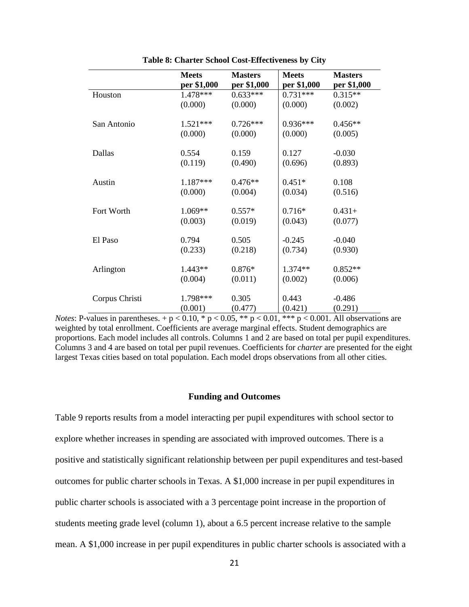|                | <b>Meets</b> | <b>Masters</b> | <b>Meets</b> | <b>Masters</b> |
|----------------|--------------|----------------|--------------|----------------|
|                | per \$1,000  | per \$1,000    | per \$1,000  | per \$1,000    |
| Houston        | 1.478***     | $0.633***$     | $0.731***$   | $0.315**$      |
|                | (0.000)      | (0.000)        | (0.000)      | (0.002)        |
| San Antonio    | $1.521***$   | $0.726***$     | $0.936***$   | $0.456**$      |
|                | (0.000)      | (0.000)        | (0.000)      | (0.005)        |
| Dallas         | 0.554        | 0.159          | 0.127        | $-0.030$       |
|                | (0.119)      | (0.490)        | (0.696)      | (0.893)        |
| Austin         | $1.187***$   | $0.476**$      | $0.451*$     | 0.108          |
|                | (0.000)      | (0.004)        | (0.034)      | (0.516)        |
| Fort Worth     | 1.069**      | $0.557*$       | $0.716*$     | $0.431+$       |
|                | (0.003)      | (0.019)        | (0.043)      | (0.077)        |
| El Paso        | 0.794        | 0.505          | $-0.245$     | $-0.040$       |
|                | (0.233)      | (0.218)        | (0.734)      | (0.930)        |
| Arlington      | 1.443**      | $0.876*$       | 1.374**      | $0.852**$      |
|                | (0.004)      | (0.011)        | (0.002)      | (0.006)        |
| Corpus Christi | 1.798***     | 0.305          | 0.443        | $-0.486$       |
|                | (0.001)      | (0.477)        | (0.421)      | (0.291)        |

**Table 8: Charter School Cost-Effectiveness by City**

*Notes*: P-values in parentheses.  $+p < 0.10$ , \*  $p < 0.05$ , \*\*  $p < 0.01$ , \*\*\*  $p < 0.001$ . All observations are weighted by total enrollment. Coefficients are average marginal effects. Student demographics are proportions. Each model includes all controls. Columns 1 and 2 are based on total per pupil expenditures. Columns 3 and 4 are based on total per pupil revenues. Coefficients for *charter* are presented for the eight largest Texas cities based on total population. Each model drops observations from all other cities.

## **Funding and Outcomes**

Table 9 reports results from a model interacting per pupil expenditures with school sector to explore whether increases in spending are associated with improved outcomes. There is a positive and statistically significant relationship between per pupil expenditures and test-based outcomes for public charter schools in Texas. A \$1,000 increase in per pupil expenditures in public charter schools is associated with a 3 percentage point increase in the proportion of students meeting grade level (column 1), about a 6.5 percent increase relative to the sample mean. A \$1,000 increase in per pupil expenditures in public charter schools is associated with a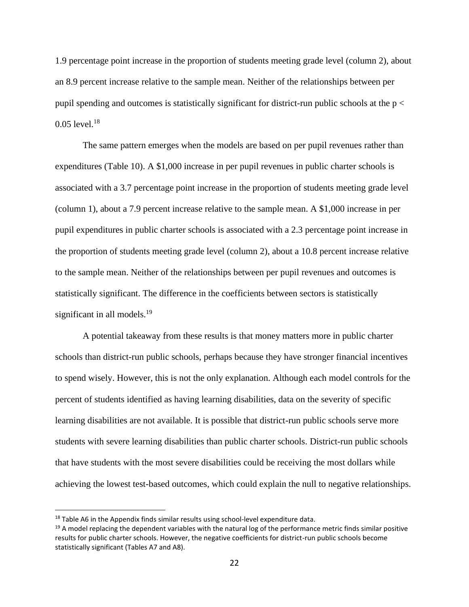1.9 percentage point increase in the proportion of students meeting grade level (column 2), about an 8.9 percent increase relative to the sample mean. Neither of the relationships between per pupil spending and outcomes is statistically significant for district-run public schools at the p <  $0.05$  level.<sup>18</sup>

The same pattern emerges when the models are based on per pupil revenues rather than expenditures (Table 10). A \$1,000 increase in per pupil revenues in public charter schools is associated with a 3.7 percentage point increase in the proportion of students meeting grade level (column 1), about a 7.9 percent increase relative to the sample mean. A \$1,000 increase in per pupil expenditures in public charter schools is associated with a 2.3 percentage point increase in the proportion of students meeting grade level (column 2), about a 10.8 percent increase relative to the sample mean. Neither of the relationships between per pupil revenues and outcomes is statistically significant. The difference in the coefficients between sectors is statistically significant in all models.<sup>19</sup>

A potential takeaway from these results is that money matters more in public charter schools than district-run public schools, perhaps because they have stronger financial incentives to spend wisely. However, this is not the only explanation. Although each model controls for the percent of students identified as having learning disabilities, data on the severity of specific learning disabilities are not available. It is possible that district-run public schools serve more students with severe learning disabilities than public charter schools. District-run public schools that have students with the most severe disabilities could be receiving the most dollars while achieving the lowest test-based outcomes, which could explain the null to negative relationships.

 $18$  Table A6 in the Appendix finds similar results using school-level expenditure data.

 $19$  A model replacing the dependent variables with the natural log of the performance metric finds similar positive results for public charter schools. However, the negative coefficients for district-run public schools become statistically significant (Tables A7 and A8).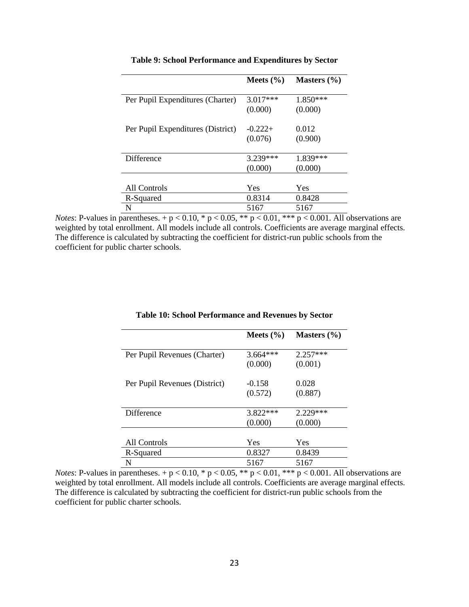|                                   | Meets $(\% )$ | Masters $(\% )$ |
|-----------------------------------|---------------|-----------------|
| Per Pupil Expenditures (Charter)  | $3.017***$    | $1.850***$      |
|                                   | (0.000)       | (0.000)         |
| Per Pupil Expenditures (District) | $-0.222+$     | 0.012           |
|                                   | (0.076)       | (0.900)         |
| Difference                        | $3.239***$    | $1.839***$      |
|                                   | (0.000)       | (0.000)         |
|                                   |               |                 |
| All Controls                      | Yes           | Yes             |
| R-Squared                         | 0.8314        | 0.8428          |
| N                                 | 5167          | 5167            |

**Table 9: School Performance and Expenditures by Sector**

*Notes*: P-values in parentheses. + p < 0.10, \* p < 0.05, \*\* p < 0.01, \*\*\* p < 0.001. All observations are weighted by total enrollment. All models include all controls. Coefficients are average marginal effects. The difference is calculated by subtracting the coefficient for district-run public schools from the coefficient for public charter schools.

|                               | Meets $(\% )$ | Masters $(\% )$ |
|-------------------------------|---------------|-----------------|
| Per Pupil Revenues (Charter)  | $3.664***$    | $2.257***$      |
|                               | (0.000)       | (0.001)         |
| Per Pupil Revenues (District) | $-0.158$      | 0.028           |
|                               | (0.572)       | (0.887)         |
| <b>Difference</b>             | $3.822***$    | $2.229***$      |
|                               | (0.000)       | (0.000)         |
|                               |               |                 |
| All Controls                  | Yes           | Yes             |
| R-Squared                     | 0.8327        | 0.8439          |
| N                             | 5167          | 5167            |

#### **Table 10: School Performance and Revenues by Sector**

*Notes*: P-values in parentheses. + p < 0.10, \* p < 0.05, \*\* p < 0.01, \*\*\* p < 0.001. All observations are weighted by total enrollment. All models include all controls. Coefficients are average marginal effects. The difference is calculated by subtracting the coefficient for district-run public schools from the coefficient for public charter schools.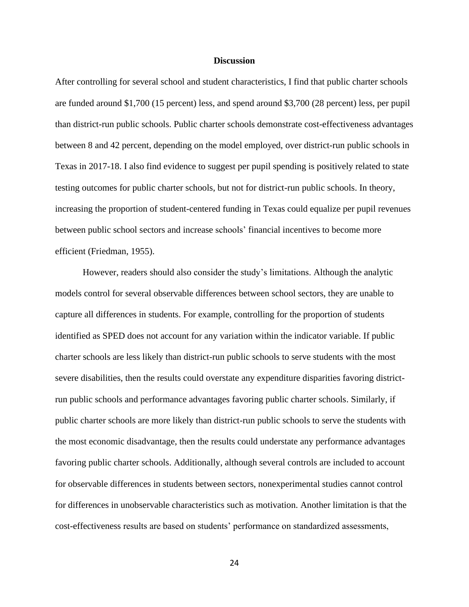## **Discussion**

After controlling for several school and student characteristics, I find that public charter schools are funded around \$1,700 (15 percent) less, and spend around \$3,700 (28 percent) less, per pupil than district-run public schools. Public charter schools demonstrate cost-effectiveness advantages between 8 and 42 percent, depending on the model employed, over district-run public schools in Texas in 2017-18. I also find evidence to suggest per pupil spending is positively related to state testing outcomes for public charter schools, but not for district-run public schools. In theory, increasing the proportion of student-centered funding in Texas could equalize per pupil revenues between public school sectors and increase schools' financial incentives to become more efficient (Friedman, 1955).

However, readers should also consider the study's limitations. Although the analytic models control for several observable differences between school sectors, they are unable to capture all differences in students. For example, controlling for the proportion of students identified as SPED does not account for any variation within the indicator variable. If public charter schools are less likely than district-run public schools to serve students with the most severe disabilities, then the results could overstate any expenditure disparities favoring districtrun public schools and performance advantages favoring public charter schools. Similarly, if public charter schools are more likely than district-run public schools to serve the students with the most economic disadvantage, then the results could understate any performance advantages favoring public charter schools. Additionally, although several controls are included to account for observable differences in students between sectors, nonexperimental studies cannot control for differences in unobservable characteristics such as motivation. Another limitation is that the cost-effectiveness results are based on students' performance on standardized assessments,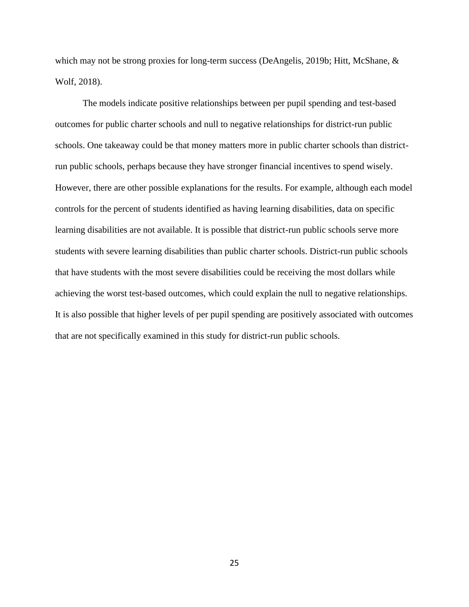which may not be strong proxies for long-term success (DeAngelis, 2019b; Hitt, McShane, & Wolf, 2018).

The models indicate positive relationships between per pupil spending and test-based outcomes for public charter schools and null to negative relationships for district-run public schools. One takeaway could be that money matters more in public charter schools than districtrun public schools, perhaps because they have stronger financial incentives to spend wisely. However, there are other possible explanations for the results. For example, although each model controls for the percent of students identified as having learning disabilities, data on specific learning disabilities are not available. It is possible that district-run public schools serve more students with severe learning disabilities than public charter schools. District-run public schools that have students with the most severe disabilities could be receiving the most dollars while achieving the worst test-based outcomes, which could explain the null to negative relationships. It is also possible that higher levels of per pupil spending are positively associated with outcomes that are not specifically examined in this study for district-run public schools.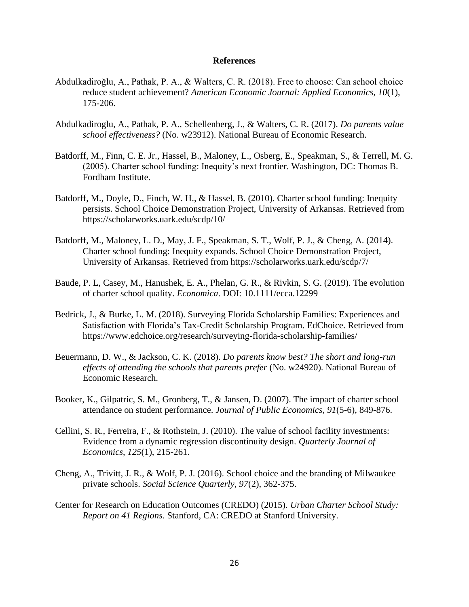#### **References**

- Abdulkadiroğlu, A., Pathak, P. A., & Walters, C. R. (2018). Free to choose: Can school choice reduce student achievement? *American Economic Journal: Applied Economics*, *10*(1), 175-206.
- Abdulkadiroglu, A., Pathak, P. A., Schellenberg, J., & Walters, C. R. (2017). *Do parents value school effectiveness?* (No. w23912). National Bureau of Economic Research.
- Batdorff, M., Finn, C. E. Jr., Hassel, B., Maloney, L., Osberg, E., Speakman, S., & Terrell, M. G. (2005). Charter school funding: Inequity's next frontier. Washington, DC: Thomas B. Fordham Institute.
- Batdorff, M., Doyle, D., Finch, W. H., & Hassel, B. (2010). Charter school funding: Inequity persists. School Choice Demonstration Project, University of Arkansas. Retrieved from https://scholarworks.uark.edu/scdp/10/
- Batdorff, M., Maloney, L. D., May, J. F., Speakman, S. T., Wolf, P. J., & Cheng, A. (2014). Charter school funding: Inequity expands. School Choice Demonstration Project, University of Arkansas. Retrieved from https://scholarworks.uark.edu/scdp/7/
- Baude, P. L, Casey, M., Hanushek, E. A., Phelan, G. R., & Rivkin, S. G. (2019). The evolution of charter school quality. *Economica*. DOI: 10.1111/ecca.12299
- Bedrick, J., & Burke, L. M. (2018). Surveying Florida Scholarship Families: Experiences and Satisfaction with Florida's Tax-Credit Scholarship Program. EdChoice. Retrieved from https://www.edchoice.org/research/surveying-florida-scholarship-families/
- Beuermann, D. W., & Jackson, C. K. (2018). *Do parents know best? The short and long-run effects of attending the schools that parents prefer* (No. w24920). National Bureau of Economic Research.
- Booker, K., Gilpatric, S. M., Gronberg, T., & Jansen, D. (2007). The impact of charter school attendance on student performance. *Journal of Public Economics*, *91*(5-6), 849-876.
- Cellini, S. R., Ferreira, F., & Rothstein, J. (2010). The value of school facility investments: Evidence from a dynamic regression discontinuity design. *Quarterly Journal of Economics*, *125*(1), 215-261.
- Cheng, A., Trivitt, J. R., & Wolf, P. J. (2016). School choice and the branding of Milwaukee private schools. *Social Science Quarterly*, *97*(2), 362-375.
- Center for Research on Education Outcomes (CREDO) (2015). *Urban Charter School Study: Report on 41 Regions*. Stanford, CA: CREDO at Stanford University.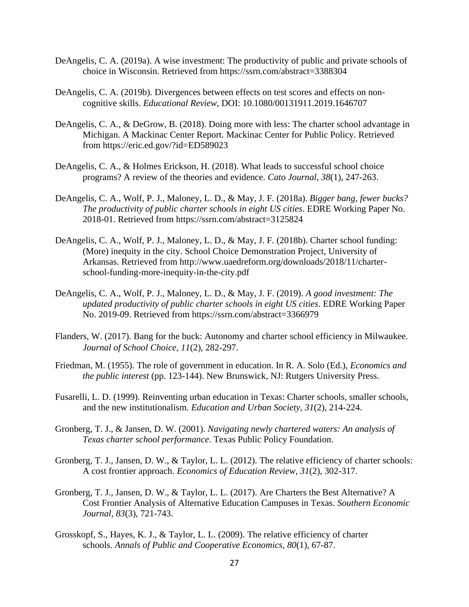- DeAngelis, C. A. (2019a). A wise investment: The productivity of public and private schools of choice in Wisconsin. Retrieved from https://ssrn.com/abstract=3388304
- DeAngelis, C. A. (2019b). Divergences between effects on test scores and effects on noncognitive skills. *Educational Review*, DOI: 10.1080/00131911.2019.1646707
- DeAngelis, C. A., & DeGrow, B. (2018). Doing more with less: The charter school advantage in Michigan. A Mackinac Center Report. Mackinac Center for Public Policy. Retrieved from https://eric.ed.gov/?id=ED589023
- DeAngelis, C. A., & Holmes Erickson, H. (2018). What leads to successful school choice programs? A review of the theories and evidence. *Cato Journal*, *38*(1), 247-263.
- DeAngelis, C. A., Wolf, P. J., Maloney, L. D., & May, J. F. (2018a). *Bigger bang, fewer bucks? The productivity of public charter schools in eight US cities*. EDRE Working Paper No. 2018-01. Retrieved from https://ssrn.com/abstract=3125824
- DeAngelis, C. A., Wolf, P. J., Maloney, L. D., & May, J. F. (2018b). Charter school funding: (More) inequity in the city. School Choice Demonstration Project, University of Arkansas. Retrieved from http://www.uaedreform.org/downloads/2018/11/charterschool-funding-more-inequity-in-the-city.pdf
- DeAngelis, C. A., Wolf, P. J., Maloney, L. D., & May, J. F. (2019). *A good investment: The updated productivity of public charter schools in eight US cities*. EDRE Working Paper No. 2019-09. Retrieved from https://ssrn.com/abstract=3366979
- Flanders, W. (2017). Bang for the buck: Autonomy and charter school efficiency in Milwaukee. *Journal of School Choice*, *11*(2), 282-297.
- Friedman, M. (1955). The role of government in education. In R. A. Solo (Ed.), *Economics and the public interest* (pp. 123-144). New Brunswick, NJ: Rutgers University Press.
- Fusarelli, L. D. (1999). Reinventing urban education in Texas: Charter schools, smaller schools, and the new institutionalism. *Education and Urban Society*, *31*(2), 214-224.
- Gronberg, T. J., & Jansen, D. W. (2001). *Navigating newly chartered waters: An analysis of Texas charter school performance*. Texas Public Policy Foundation.
- Gronberg, T. J., Jansen, D. W., & Taylor, L. L. (2012). The relative efficiency of charter schools: A cost frontier approach. *Economics of Education Review*, *31*(2), 302-317.
- Gronberg, T. J., Jansen, D. W., & Taylor, L. L. (2017). Are Charters the Best Alternative? A Cost Frontier Analysis of Alternative Education Campuses in Texas. *Southern Economic Journal*, *83*(3), 721-743.
- Grosskopf, S., Hayes, K. J., & Taylor, L. L. (2009). The relative efficiency of charter schools. *Annals of Public and Cooperative Economics*, *80*(1), 67-87.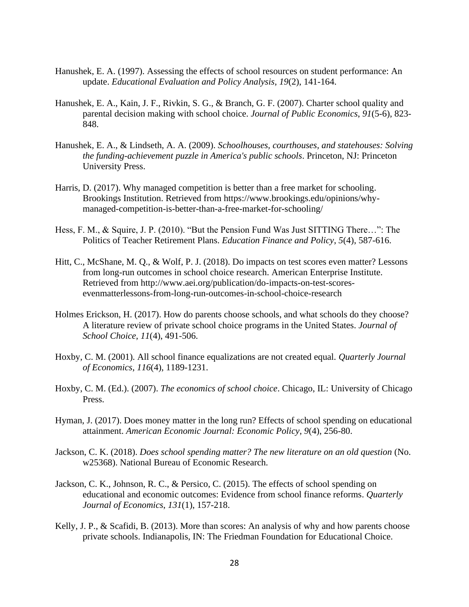- Hanushek, E. A. (1997). Assessing the effects of school resources on student performance: An update. *Educational Evaluation and Policy Analysis*, *19*(2), 141-164.
- Hanushek, E. A., Kain, J. F., Rivkin, S. G., & Branch, G. F. (2007). Charter school quality and parental decision making with school choice. *Journal of Public Economics*, *91*(5-6), 823- 848.
- Hanushek, E. A., & Lindseth, A. A. (2009). *Schoolhouses, courthouses, and statehouses: Solving the funding-achievement puzzle in America's public schools*. Princeton, NJ: Princeton University Press.
- Harris, D. (2017). Why managed competition is better than a free market for schooling. Brookings Institution. Retrieved from https://www.brookings.edu/opinions/whymanaged-competition-is-better-than-a-free-market-for-schooling/
- Hess, F. M., & Squire, J. P. (2010). "But the Pension Fund Was Just SITTING There…": The Politics of Teacher Retirement Plans. *Education Finance and Policy*, *5*(4), 587-616.
- Hitt, C., McShane, M. Q., & Wolf, P. J. (2018). Do impacts on test scores even matter? Lessons from long-run outcomes in school choice research. American Enterprise Institute. Retrieved from http://www.aei.org/publication/do-impacts-on-test-scoresevenmatterlessons-from-long-run-outcomes-in-school-choice-research
- Holmes Erickson, H. (2017). How do parents choose schools, and what schools do they choose? A literature review of private school choice programs in the United States. *Journal of School Choice*, *11*(4), 491-506.
- Hoxby, C. M. (2001). All school finance equalizations are not created equal. *Quarterly Journal of Economics*, *116*(4), 1189-1231.
- Hoxby, C. M. (Ed.). (2007). *The economics of school choice*. Chicago, IL: University of Chicago Press.
- Hyman, J. (2017). Does money matter in the long run? Effects of school spending on educational attainment. *American Economic Journal: Economic Policy*, *9*(4), 256-80.
- Jackson, C. K. (2018). *Does school spending matter? The new literature on an old question* (No. w25368). National Bureau of Economic Research.
- Jackson, C. K., Johnson, R. C., & Persico, C. (2015). The effects of school spending on educational and economic outcomes: Evidence from school finance reforms. *Quarterly Journal of Economics*, *131*(1), 157-218.
- Kelly, J. P., & Scafidi, B. (2013). More than scores: An analysis of why and how parents choose private schools. Indianapolis, IN: The Friedman Foundation for Educational Choice.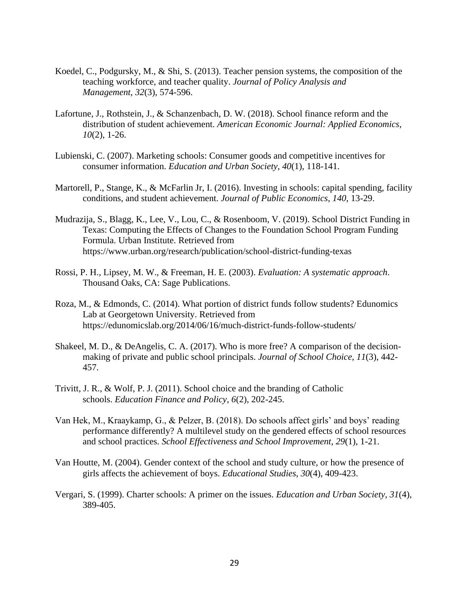- Koedel, C., Podgursky, M., & Shi, S. (2013). Teacher pension systems, the composition of the teaching workforce, and teacher quality. *Journal of Policy Analysis and Management*, *32*(3), 574-596.
- Lafortune, J., Rothstein, J., & Schanzenbach, D. W. (2018). School finance reform and the distribution of student achievement. *American Economic Journal: Applied Economics*, *10*(2), 1-26.
- Lubienski, C. (2007). Marketing schools: Consumer goods and competitive incentives for consumer information. *Education and Urban Society*, *40*(1), 118-141.
- Martorell, P., Stange, K., & McFarlin Jr, I. (2016). Investing in schools: capital spending, facility conditions, and student achievement. *Journal of Public Economics*, *140*, 13-29.
- Mudrazija, S., Blagg, K., Lee, V., Lou, C., & Rosenboom, V. (2019). School District Funding in Texas: Computing the Effects of Changes to the Foundation School Program Funding Formula. Urban Institute. Retrieved from https://www.urban.org/research/publication/school-district-funding-texas
- Rossi, P. H., Lipsey, M. W., & Freeman, H. E. (2003). *Evaluation: A systematic approach*. Thousand Oaks, CA: Sage Publications.
- Roza, M., & Edmonds, C. (2014). What portion of district funds follow students? Edunomics Lab at Georgetown University. Retrieved from https://edunomicslab.org/2014/06/16/much-district-funds-follow-students/
- Shakeel, M. D., & DeAngelis, C. A. (2017). Who is more free? A comparison of the decisionmaking of private and public school principals. *Journal of School Choice*, *11*(3), 442- 457.
- Trivitt, J. R., & Wolf, P. J. (2011). School choice and the branding of Catholic schools. *Education Finance and Policy*, *6*(2), 202-245.
- Van Hek, M., Kraaykamp, G., & Pelzer, B. (2018). Do schools affect girls' and boys' reading performance differently? A multilevel study on the gendered effects of school resources and school practices. *School Effectiveness and School Improvement*, *29*(1), 1-21.
- Van Houtte, M. (2004). Gender context of the school and study culture, or how the presence of girls affects the achievement of boys. *Educational Studies*, *30*(4), 409-423.
- Vergari, S. (1999). Charter schools: A primer on the issues. *Education and Urban Society*, *31*(4), 389-405.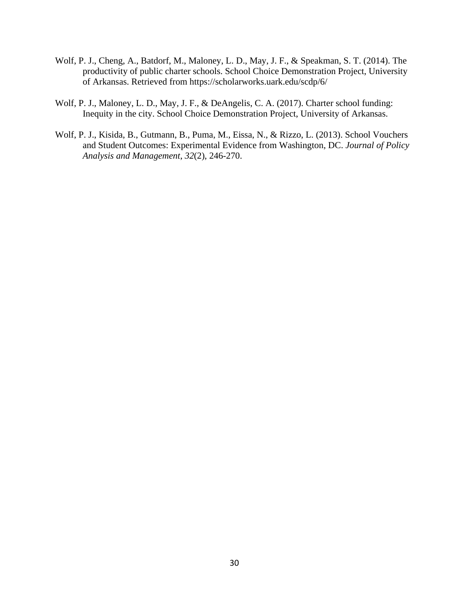- Wolf, P. J., Cheng, A., Batdorf, M., Maloney, L. D., May, J. F., & Speakman, S. T. (2014). The productivity of public charter schools. School Choice Demonstration Project, University of Arkansas. Retrieved from https://scholarworks.uark.edu/scdp/6/
- Wolf, P. J., Maloney, L. D., May, J. F., & DeAngelis, C. A. (2017). Charter school funding: Inequity in the city. School Choice Demonstration Project, University of Arkansas.
- Wolf, P. J., Kisida, B., Gutmann, B., Puma, M., Eissa, N., & Rizzo, L. (2013). School Vouchers and Student Outcomes: Experimental Evidence from Washington, DC. *Journal of Policy Analysis and Management*, *32*(2), 246-270.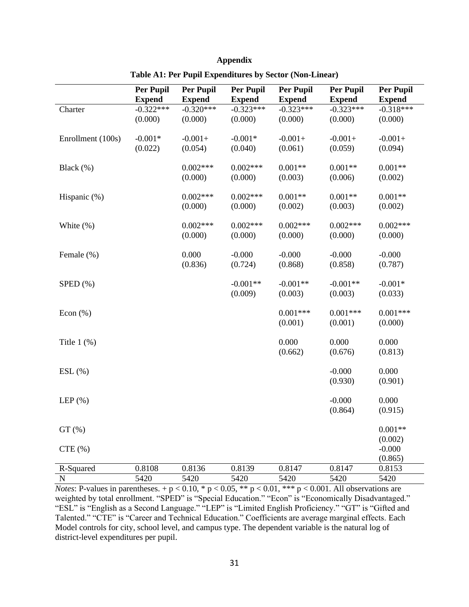|                   | <b>Per Pupil</b> | <b>Per Pupil</b> | Per Pupil     | Per Pupil     | Per Pupil     | <b>Per Pupil</b> |
|-------------------|------------------|------------------|---------------|---------------|---------------|------------------|
|                   | <b>Expend</b>    | <b>Expend</b>    | <b>Expend</b> | <b>Expend</b> | <b>Expend</b> | <b>Expend</b>    |
| Charter           | $-0.322***$      | $-0.320***$      | $-0.323***$   | $-0.323***$   | $-0.323***$   | $-0.318***$      |
|                   | (0.000)          | (0.000)          | (0.000)       | (0.000)       | (0.000)       | (0.000)          |
|                   |                  |                  |               |               |               |                  |
| Enrollment (100s) | $-0.001*$        | $-0.001+$        | $-0.001*$     | $-0.001+$     | $-0.001+$     | $-0.001+$        |
|                   | (0.022)          | (0.054)          | (0.040)       | (0.061)       | (0.059)       | (0.094)          |
| Black $(\%)$      |                  | $0.002***$       | $0.002***$    | $0.001**$     | $0.001**$     | $0.001**$        |
|                   |                  | (0.000)          | (0.000)       | (0.003)       | (0.006)       | (0.002)          |
|                   |                  |                  |               |               |               |                  |
| Hispanic (%)      |                  | $0.002***$       | $0.002***$    | $0.001**$     | $0.001**$     | $0.001**$        |
|                   |                  | (0.000)          | (0.000)       | (0.002)       | (0.003)       | (0.002)          |
|                   |                  |                  |               |               |               |                  |
| White $(\%)$      |                  | $0.002***$       | $0.002***$    | $0.002***$    | $0.002***$    | $0.002***$       |
|                   |                  | (0.000)          | (0.000)       | (0.000)       | (0.000)       | (0.000)          |
| Female (%)        |                  | 0.000            | $-0.000$      | $-0.000$      | $-0.000$      | $-0.000$         |
|                   |                  | (0.836)          | (0.724)       | (0.868)       | (0.858)       | (0.787)          |
|                   |                  |                  |               |               |               |                  |
| $SPED$ $(\%)$     |                  |                  | $-0.001**$    | $-0.001**$    | $-0.001**$    | $-0.001*$        |
|                   |                  |                  | (0.009)       | (0.003)       | (0.003)       | (0.033)          |
| Econ $(\%)$       |                  |                  |               | $0.001***$    | $0.001***$    | $0.001***$       |
|                   |                  |                  |               | (0.001)       | (0.001)       | (0.000)          |
|                   |                  |                  |               |               |               |                  |
| Title $1$ $(\%)$  |                  |                  |               | 0.000         | 0.000         | 0.000            |
|                   |                  |                  |               | (0.662)       | (0.676)       | (0.813)          |
|                   |                  |                  |               |               |               |                  |
| $ESL$ $(\%)$      |                  |                  |               |               | $-0.000$      | 0.000            |
|                   |                  |                  |               |               | (0.930)       | (0.901)          |
| LEP $(\%)$        |                  |                  |               |               | $-0.000$      | 0.000            |
|                   |                  |                  |               |               | (0.864)       | (0.915)          |
|                   |                  |                  |               |               |               |                  |
| GT(%)             |                  |                  |               |               |               | $0.001**$        |
|                   |                  |                  |               |               |               | (0.002)          |
| CTE(%)            |                  |                  |               |               |               | $-0.000$         |
|                   |                  |                  |               |               |               | (0.865)          |
| R-Squared         | 0.8108           | 0.8136           | 0.8139        | 0.8147        | 0.8147        | 0.8153           |
| N                 | 5420             | 5420             | 5420<br>$**$  | 5420<br>$***$ | 5420          | 5420             |

| Appendix                                                |
|---------------------------------------------------------|
| Table A1: Per Pupil Expenditures by Sector (Non-Linear) |

*Notes*: P-values in parentheses.  $+p < 0.10$ , \*  $p < 0.05$ , \*\*  $p < 0.01$ , \*\*\*  $p < 0.001$ . All observations are weighted by total enrollment. "SPED" is "Special Education." "Econ" is "Economically Disadvantaged." "ESL" is "English as a Second Language." "LEP" is "Limited English Proficiency." "GT" is "Gifted and Talented." "CTE" is "Career and Technical Education." Coefficients are average marginal effects. Each Model controls for city, school level, and campus type. The dependent variable is the natural log of district-level expenditures per pupil.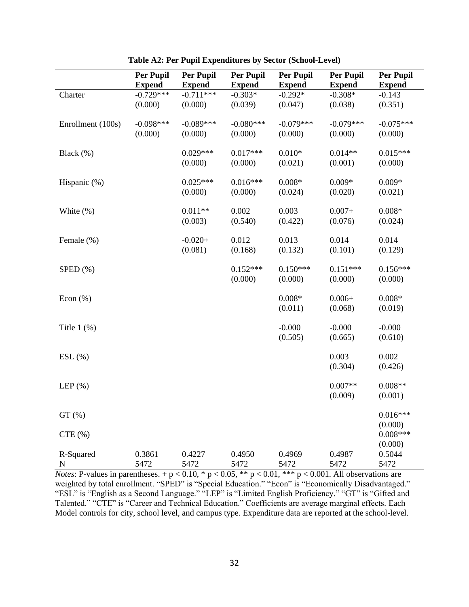|                   | <b>Per Pupil</b> | Per Pupil     | Per Pupil     | <b>Per Pupil</b>  | <b>Per Pupil</b> | <b>Per Pupil</b> |
|-------------------|------------------|---------------|---------------|-------------------|------------------|------------------|
|                   | <b>Expend</b>    | <b>Expend</b> | <b>Expend</b> | <b>Expend</b>     | <b>Expend</b>    | <b>Expend</b>    |
| Charter           | $-0.729***$      | $-0.711***$   | $-0.303*$     | $-0.292*$         | $-0.308*$        | $-0.143$         |
|                   | (0.000)          | (0.000)       | (0.039)       | (0.047)           | (0.038)          | (0.351)          |
|                   |                  |               |               |                   |                  |                  |
| Enrollment (100s) | $-0.098***$      | $-0.089***$   | $-0.080***$   | $-0.079***$       | $-0.079***$      | $-0.075***$      |
|                   | (0.000)          | (0.000)       | (0.000)       | (0.000)           | (0.000)          | (0.000)          |
| Black (%)         |                  | $0.029***$    | $0.017***$    | $0.010\mathrm{*}$ | $0.014**$        | $0.015***$       |
|                   |                  | (0.000)       | (0.000)       | (0.021)           | (0.001)          | (0.000)          |
|                   |                  |               |               |                   |                  |                  |
| Hispanic (%)      |                  | $0.025***$    | $0.016***$    | $0.008*$          | $0.009*$         | $0.009*$         |
|                   |                  | (0.000)       | (0.000)       | (0.024)           | (0.020)          | (0.021)          |
|                   |                  |               |               |                   |                  |                  |
| White $(\%)$      |                  | $0.011**$     | 0.002         | 0.003             | $0.007+$         | $0.008*$         |
|                   |                  | (0.003)       | (0.540)       | (0.422)           | (0.076)          | (0.024)          |
| Female (%)        |                  | $-0.020+$     | 0.012         | 0.013             | 0.014            | 0.014            |
|                   |                  | (0.081)       | (0.168)       | (0.132)           | (0.101)          | (0.129)          |
|                   |                  |               |               |                   |                  |                  |
| $SPED$ $(\%)$     |                  |               | $0.152***$    | $0.150***$        | $0.151***$       | $0.156***$       |
|                   |                  |               | (0.000)       | (0.000)           | (0.000)          | (0.000)          |
|                   |                  |               |               |                   |                  |                  |
| Econ $(\%)$       |                  |               |               | $0.008*$          | $0.006 +$        | $0.008*$         |
|                   |                  |               |               | (0.011)           | (0.068)          | (0.019)          |
|                   |                  |               |               | $-0.000$          | $-0.000$         | $-0.000$         |
| Title $1$ $(\%)$  |                  |               |               | (0.505)           | (0.665)          | (0.610)          |
|                   |                  |               |               |                   |                  |                  |
| $ESL(\%)$         |                  |               |               |                   | 0.003            | 0.002            |
|                   |                  |               |               |                   | (0.304)          | (0.426)          |
|                   |                  |               |               |                   |                  |                  |
| LEP $(\% )$       |                  |               |               |                   | $0.007**$        | $0.008**$        |
|                   |                  |               |               |                   | (0.009)          | (0.001)          |
| GT(%)             |                  |               |               |                   |                  | $0.016***$       |
|                   |                  |               |               |                   |                  | (0.000)          |
| CTE(%)            |                  |               |               |                   |                  | $0.008***$       |
|                   |                  |               |               |                   |                  | (0.000)          |
| R-Squared         | 0.3861           | 0.4227        | 0.4950        | 0.4969            | 0.4987           | 0.5044           |
| $\mathbf N$       | 5472             | 5472          | 5472          | 5472              | 5472             | 5472             |

**Table A2: Per Pupil Expenditures by Sector (School-Level)**

*Notes*: P-values in parentheses.  $+p < 0.10$ ,  $\ast p < 0.05$ ,  $\ast \ast p < 0.01$ ,  $\ast \ast p < 0.001$ . All observations are weighted by total enrollment. "SPED" is "Special Education." "Econ" is "Economically Disadvantaged." "ESL" is "English as a Second Language." "LEP" is "Limited English Proficiency." "GT" is "Gifted and Talented." "CTE" is "Career and Technical Education." Coefficients are average marginal effects. Each Model controls for city, school level, and campus type. Expenditure data are reported at the school-level.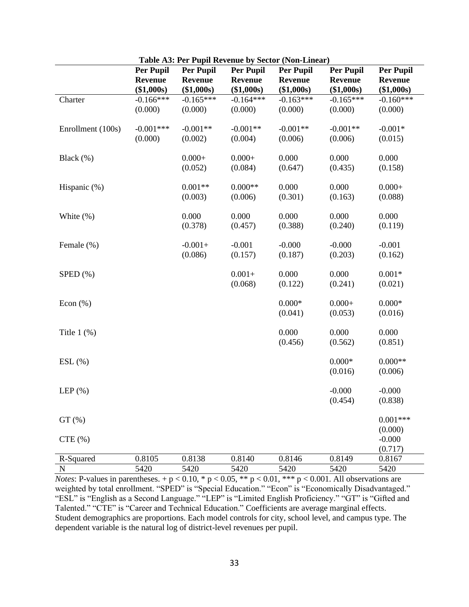|                   | <b>Per Pupil</b> | <b>Per Pupil</b> | <b>Per Pupil</b> | <b>Per Pupil</b> | <b>Per Pupil</b> | <b>Per Pupil</b> |
|-------------------|------------------|------------------|------------------|------------------|------------------|------------------|
|                   | <b>Revenue</b>   | <b>Revenue</b>   | <b>Revenue</b>   | Revenue          | <b>Revenue</b>   | <b>Revenue</b>   |
|                   | (\$1,000s)       | (\$1,000s)       | (\$1,000s)       | (\$1,000s)       | (\$1,000s)       | (\$1,000s)       |
| Charter           | $-0.166***$      | $-0.165***$      | $-0.164***$      | $-0.163***$      | $-0.165***$      | $-0.160***$      |
|                   | (0.000)          | (0.000)          | (0.000)          | (0.000)          | (0.000)          | (0.000)          |
|                   |                  |                  |                  |                  |                  |                  |
| Enrollment (100s) | $-0.001***$      | $-0.001**$       | $-0.001**$       | $-0.001**$       | $-0.001**$       | $-0.001*$        |
|                   | (0.000)          | (0.002)          | (0.004)          | (0.006)          | (0.006)          | (0.015)          |
|                   |                  |                  |                  |                  |                  |                  |
| Black $(\%)$      |                  | $0.000 +$        | $0.000 +$        | 0.000            | 0.000            | 0.000            |
|                   |                  | (0.052)          | (0.084)          | (0.647)          | (0.435)          | (0.158)          |
|                   |                  |                  |                  |                  |                  |                  |
| Hispanic (%)      |                  | $0.001**$        | $0.000**$        | 0.000            | 0.000            | $0.000 +$        |
|                   |                  | (0.003)          | (0.006)          | (0.301)          | (0.163)          | (0.088)          |
|                   |                  |                  |                  |                  |                  |                  |
| White $(\%)$      |                  | 0.000            | 0.000            | 0.000            | 0.000            | 0.000            |
|                   |                  | (0.378)          | (0.457)          | (0.388)          | (0.240)          | (0.119)          |
|                   |                  |                  |                  |                  |                  |                  |
| Female (%)        |                  | $-0.001+$        | $-0.001$         | $-0.000$         | $-0.000$         | $-0.001$         |
|                   |                  | (0.086)          | (0.157)          | (0.187)          | (0.203)          | (0.162)          |
|                   |                  |                  |                  |                  |                  |                  |
| $SPED$ $(\%)$     |                  |                  | $0.001 +$        | 0.000            | 0.000            | $0.001*$         |
|                   |                  |                  | (0.068)          | (0.122)          | (0.241)          | (0.021)          |
|                   |                  |                  |                  |                  |                  |                  |
| Econ $(\%)$       |                  |                  |                  | $0.000*$         | $0.000 +$        | $0.000*$         |
|                   |                  |                  |                  | (0.041)          | (0.053)          | (0.016)          |
|                   |                  |                  |                  |                  |                  |                  |
| Title $1$ $(\%)$  |                  |                  |                  | 0.000            | 0.000            | 0.000            |
|                   |                  |                  |                  | (0.456)          | (0.562)          | (0.851)          |
|                   |                  |                  |                  |                  |                  |                  |
| $ESL$ $(\%)$      |                  |                  |                  |                  | $0.000*$         | $0.000**$        |
|                   |                  |                  |                  |                  | (0.016)          | (0.006)          |
|                   |                  |                  |                  |                  |                  |                  |
| LEP $(\%)$        |                  |                  |                  |                  | $-0.000$         | $-0.000$         |
|                   |                  |                  |                  |                  | (0.454)          | (0.838)          |
|                   |                  |                  |                  |                  |                  |                  |
| GT(%)             |                  |                  |                  |                  |                  | $0.001***$       |
|                   |                  |                  |                  |                  |                  | (0.000)          |
| CTE(%)            |                  |                  |                  |                  |                  | $-0.000$         |
|                   |                  |                  |                  |                  |                  | (0.717)          |
| R-Squared         | 0.8105           | 0.8138           | 0.8140           | 0.8146           | 0.8149           | 0.8167           |
| ${\bf N}$         | 5420             | 5420             | 5420             | 5420             | 5420             | 5420             |

**Table A3: Per Pupil Revenue by Sector (Non-Linear)**

*Notes*: P-values in parentheses. +  $p < 0.10$ , \*  $p < 0.05$ , \*\*  $p < 0.01$ , \*\*\*  $p < 0.001$ . All observations are weighted by total enrollment. "SPED" is "Special Education." "Econ" is "Economically Disadvantaged." "ESL" is "English as a Second Language." "LEP" is "Limited English Proficiency." "GT" is "Gifted and Talented." "CTE" is "Career and Technical Education." Coefficients are average marginal effects. Student demographics are proportions. Each model controls for city, school level, and campus type. The dependent variable is the natural log of district-level revenues per pupil.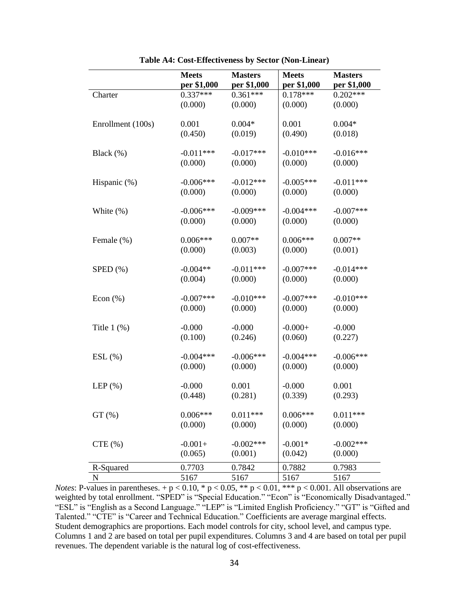|                   | <b>Meets</b> | <b>Masters</b> | <b>Meets</b> | <b>Masters</b> |
|-------------------|--------------|----------------|--------------|----------------|
|                   | per \$1,000  | per \$1,000    | per \$1,000  | per \$1,000    |
| Charter           | $0.337***$   | $0.361***$     | $0.178***$   | $0.202***$     |
|                   | (0.000)      | (0.000)        | (0.000)      | (0.000)        |
|                   |              |                |              |                |
| Enrollment (100s) | 0.001        | $0.004*$       | 0.001        | $0.004*$       |
|                   | (0.450)      | (0.019)        | (0.490)      | (0.018)        |
|                   |              |                |              |                |
| Black (%)         | $-0.011***$  | $-0.017***$    | $-0.010***$  | $-0.016***$    |
|                   | (0.000)      | (0.000)        | (0.000)      | (0.000)        |
| Hispanic (%)      | $-0.006***$  | $-0.012***$    | $-0.005***$  | $-0.011***$    |
|                   | (0.000)      | (0.000)        | (0.000)      | (0.000)        |
|                   |              |                |              |                |
| White $(\%)$      | $-0.006***$  | $-0.009***$    | $-0.004***$  | $-0.007***$    |
|                   | (0.000)      | (0.000)        | (0.000)      | (0.000)        |
|                   |              |                |              |                |
| Female (%)        | $0.006***$   | $0.007**$      | $0.006***$   | $0.007**$      |
|                   | (0.000)      | (0.003)        | (0.000)      | (0.001)        |
|                   |              | $-0.011***$    |              |                |
| $SPED$ $(\%)$     | $-0.004**$   |                | $-0.007***$  | $-0.014***$    |
|                   | (0.004)      | (0.000)        | (0.000)      | (0.000)        |
| Econ $(\%)$       | $-0.007***$  | $-0.010***$    | $-0.007$ *** | $-0.010***$    |
|                   | (0.000)      | (0.000)        | (0.000)      | (0.000)        |
|                   |              |                |              |                |
| Title $1$ $(\%)$  | $-0.000$     | $-0.000$       | $-0.000+$    | $-0.000$       |
|                   | (0.100)      | (0.246)        | (0.060)      | (0.227)        |
|                   |              |                |              |                |
| $ESL(\%)$         | $-0.004***$  | $-0.006***$    | $-0.004***$  | $-0.006***$    |
|                   | (0.000)      | (0.000)        | (0.000)      | (0.000)        |
| LEP $(\% )$       | $-0.000$     | 0.001          | $-0.000$     | 0.001          |
|                   | (0.448)      | (0.281)        | (0.339)      | (0.293)        |
|                   |              |                |              |                |
| $GT$ (%)          | $0.006***$   | $0.011***$     | $0.006***$   | $0.011***$     |
|                   | (0.000)      | (0.000)        | (0.000)      | (0.000)        |
|                   |              |                |              |                |
| CTE(%)            | $-0.001+$    | $-0.002***$    | $-0.001*$    | $-0.002***$    |
|                   | (0.065)      | (0.001)        | (0.042)      | (0.000)        |
| R-Squared         | 0.7703       | 0.7842         | 0.7882       | 0.7983         |
| ${\bf N}$         | 5167         | 5167           | 5167         | 5167           |

**Table A4: Cost-Effectiveness by Sector (Non-Linear)**

*Notes*: P-values in parentheses.  $+p < 0.10$ , \*  $p < 0.05$ , \*\*  $p < 0.01$ , \*\*\*  $p < 0.001$ . All observations are weighted by total enrollment. "SPED" is "Special Education." "Econ" is "Economically Disadvantaged." "ESL" is "English as a Second Language." "LEP" is "Limited English Proficiency." "GT" is "Gifted and Talented." "CTE" is "Career and Technical Education." Coefficients are average marginal effects. Student demographics are proportions. Each model controls for city, school level, and campus type. Columns 1 and 2 are based on total per pupil expenditures. Columns 3 and 4 are based on total per pupil revenues. The dependent variable is the natural log of cost-effectiveness.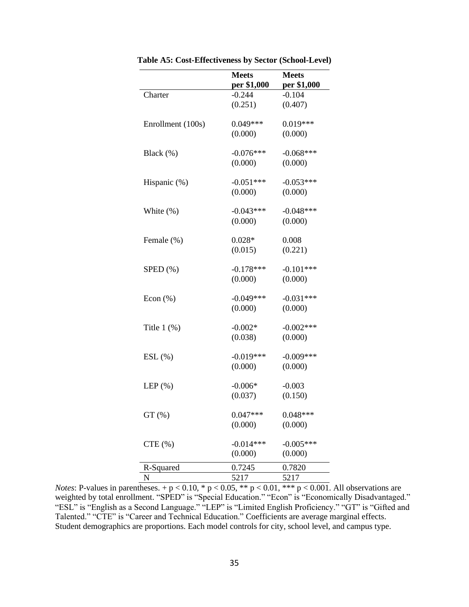|                   | <b>Meets</b> | <b>Meets</b> |
|-------------------|--------------|--------------|
|                   | per \$1,000  | per \$1,000  |
| Charter           | $-0.244$     | $-0.104$     |
|                   | (0.251)      | (0.407)      |
| Enrollment (100s) | $0.049***$   | $0.019***$   |
|                   | (0.000)      | (0.000)      |
|                   |              |              |
| Black $(\%)$      | $-0.076***$  | $-0.068***$  |
|                   | (0.000)      | (0.000)      |
| Hispanic (%)      | $-0.051***$  | $-0.053***$  |
|                   | (0.000)      | (0.000)      |
|                   |              |              |
| White $(\%)$      | $-0.043***$  | $-0.048***$  |
|                   | (0.000)      | (0.000)      |
|                   |              |              |
| Female (%)        | $0.028*$     | 0.008        |
|                   | (0.015)      | (0.221)      |
| $SPED$ $(\%)$     | $-0.178***$  | $-0.101***$  |
|                   | (0.000)      | (0.000)      |
|                   |              |              |
| Econ $(\%)$       | $-0.049***$  | $-0.031***$  |
|                   | (0.000)      | (0.000)      |
| Title $1$ $(\%)$  | $-0.002*$    | $-0.002***$  |
|                   | (0.038)      | (0.000)      |
|                   |              |              |
| $ESL(\%)$         | $-0.019***$  | $-0.009***$  |
|                   | (0.000)      | (0.000)      |
| LEP $(\%)$        | $-0.006*$    | $-0.003$     |
|                   | (0.037)      | (0.150)      |
|                   | $0.047***$   | $0.048***$   |
| $GT(\% )$         |              |              |
|                   | (0.000)      | (0.000)      |
| CTE(%)            | $-0.014***$  | $-0.005***$  |
|                   | (0.000)      | (0.000)      |
| R-Squared         | 0.7245       | 0.7820       |
| N                 | 5217         | 5217         |

**Table A5: Cost-Effectiveness by Sector (School-Level)**

*Notes*: P-values in parentheses.  $+p < 0.10$ , \*  $p < 0.05$ , \*\*  $p < 0.01$ , \*\*\*  $p < 0.001$ . All observations are weighted by total enrollment. "SPED" is "Special Education." "Econ" is "Economically Disadvantaged." "ESL" is "English as a Second Language." "LEP" is "Limited English Proficiency." "GT" is "Gifted and Talented." "CTE" is "Career and Technical Education." Coefficients are average marginal effects. Student demographics are proportions. Each model controls for city, school level, and campus type.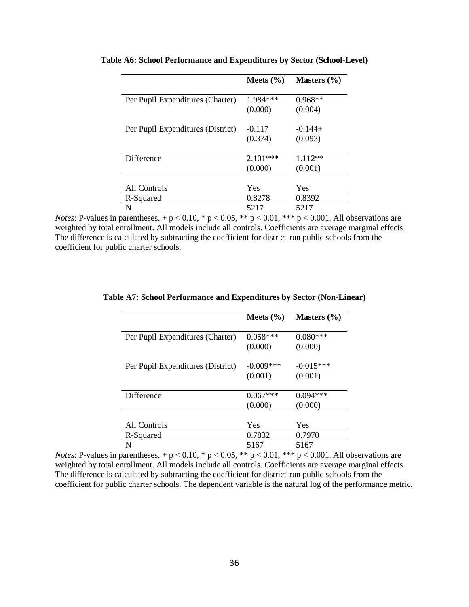|                                   | Meets $(\% )$ | Masters $(\% )$ |
|-----------------------------------|---------------|-----------------|
| Per Pupil Expenditures (Charter)  | 1.984 ***     | $0.968**$       |
|                                   | (0.000)       | (0.004)         |
| Per Pupil Expenditures (District) | $-0.117$      | $-0.144+$       |
|                                   | (0.374)       | (0.093)         |
| Difference                        | $2.101***$    | $1.112**$       |
|                                   | (0.000)       | (0.001)         |
|                                   |               |                 |
| All Controls                      | Yes           | Yes             |
| R-Squared                         | 0.8278        | 0.8392          |
| N                                 | 5217          | 5217            |

**Table A6: School Performance and Expenditures by Sector (School-Level)**

*Notes*: P-values in parentheses.  $+p < 0.10$ , \*  $p < 0.05$ , \*\*  $p < 0.01$ , \*\*\*  $p < 0.001$ . All observations are weighted by total enrollment. All models include all controls. Coefficients are average marginal effects. The difference is calculated by subtracting the coefficient for district-run public schools from the coefficient for public charter schools.

|                                   | Meets $(\% )$ | Masters $(\% )$ |
|-----------------------------------|---------------|-----------------|
| Per Pupil Expenditures (Charter)  | $0.058***$    | $0.080***$      |
|                                   | (0.000)       | (0.000)         |
| Per Pupil Expenditures (District) | $-0.009***$   | $-0.015***$     |
|                                   | (0.001)       | (0.001)         |
|                                   |               |                 |
| Difference                        | $0.067***$    | $0.094***$      |
|                                   | (0.000)       | (0.000)         |
|                                   |               |                 |
| All Controls                      | Yes           | Yes             |
| R-Squared                         | 0.7832        | 0.7970          |
| N                                 | 5167          | 5167            |

#### **Table A7: School Performance and Expenditures by Sector (Non-Linear)**

*Notes*: P-values in parentheses. + p < 0.10, \* p < 0.05, \*\* p < 0.01, \*\*\* p < 0.001. All observations are weighted by total enrollment. All models include all controls. Coefficients are average marginal effects. The difference is calculated by subtracting the coefficient for district-run public schools from the coefficient for public charter schools. The dependent variable is the natural log of the performance metric.